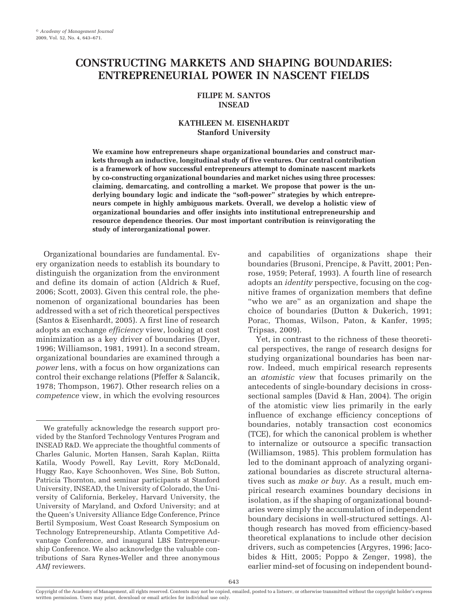# **CONSTRUCTING MARKETS AND SHAPING BOUNDARIES: ENTREPRENEURIAL POWER IN NASCENT FIELDS**

# **FILIPE M. SANTOS INSEAD**

# **KATHLEEN M. EISENHARDT Stanford University**

**We examine how entrepreneurs shape organizational boundaries and construct markets through an inductive, longitudinal study of five ventures. Our central contribution is a framework of how successful entrepreneurs attempt to dominate nascent markets by co-constructing organizational boundaries and market niches using three processes: claiming, demarcating, and controlling a market. We propose that power is the underlying boundary logic and indicate the "soft-power" strategies by which entrepreneurs compete in highly ambiguous markets. Overall, we develop a holistic view of organizational boundaries and offer insights into institutional entrepreneurship and resource dependence theories. Our most important contribution is reinvigorating the study of interorganizational power.**

Organizational boundaries are fundamental. Every organization needs to establish its boundary to distinguish the organization from the environment and define its domain of action (Aldrich & Ruef, 2006; Scott, 2003). Given this central role, the phenomenon of organizational boundaries has been addressed with a set of rich theoretical perspectives (Santos & Eisenhardt, 2005). A first line of research adopts an exchange *efficiency* view, looking at cost minimization as a key driver of boundaries (Dyer, 1996; Williamson, 1981, 1991). In a second stream, organizational boundaries are examined through a *power* lens, with a focus on how organizations can control their exchange relations (Pfeffer & Salancik, 1978; Thompson, 1967). Other research relies on a *competence* view, in which the evolving resources

and capabilities of organizations shape their boundaries (Brusoni, Prencipe, & Pavitt, 2001; Penrose, 1959; Peteraf, 1993). A fourth line of research adopts an *identity* perspective, focusing on the cognitive frames of organization members that define "who we are" as an organization and shape the choice of boundaries (Dutton & Dukerich, 1991; Porac, Thomas, Wilson, Paton, & Kanfer, 1995; Tripsas, 2009).

Yet, in contrast to the richness of these theoretical perspectives, the range of research designs for studying organizational boundaries has been narrow. Indeed, much empirical research represents an *atomistic view* that focuses primarily on the antecedents of single-boundary decisions in crosssectional samples (David & Han, 2004). The origin of the atomistic view lies primarily in the early influence of exchange efficiency conceptions of boundaries, notably transaction cost economics (TCE), for which the canonical problem is whether to internalize or outsource a specific transaction (Williamson, 1985). This problem formulation has led to the dominant approach of analyzing organizational boundaries as discrete structural alternatives such as *make or buy.* As a result, much empirical research examines boundary decisions in isolation, as if the shaping of organizational boundaries were simply the accumulation of independent boundary decisions in well-structured settings. Although research has moved from efficiency-based theoretical explanations to include other decision drivers, such as competencies (Argyres, 1996; Jacobides & Hitt, 2005; Poppo & Zenger, 1998), the earlier mind-set of focusing on independent bound-

We gratefully acknowledge the research support provided by the Stanford Technology Ventures Program and INSEAD R&D. We appreciate the thoughtful comments of Charles Galunic, Morten Hansen, Sarah Kaplan, Riitta Katila, Woody Powell, Ray Levitt, Rory McDonald, Huggy Rao, Kaye Schoonhoven, Wes Sine, Bob Sutton, Patricia Thornton, and seminar participants at Stanford University, INSEAD, the University of Colorado, the University of California, Berkeley, Harvard University, the University of Maryland, and Oxford University; and at the Queen's University Alliance Edge Conference, Prince Bertil Symposium, West Coast Research Symposium on Technology Entrepreneurship, Atlanta Competitive Advantage Conference, and inaugural LBS Entrepreneurship Conference. We also acknowledge the valuable contributions of Sara Rynes-Weller and three anonymous *AMJ* reviewers.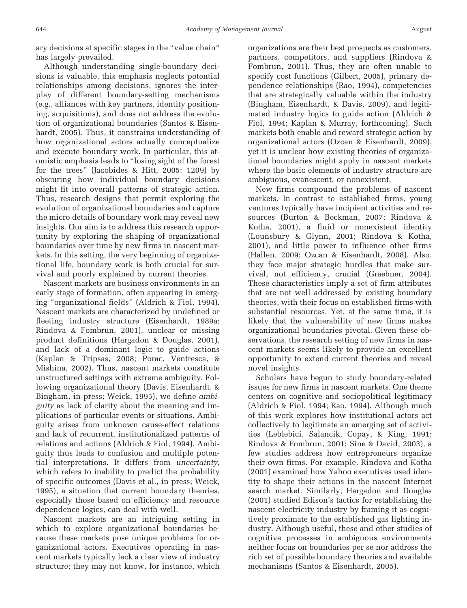ary decisions at specific stages in the "value chain" has largely prevailed.

Although understanding single-boundary decisions is valuable, this emphasis neglects potential relationships among decisions, ignores the interplay of different boundary-setting mechanisms (e.g., alliances with key partners, identity positioning, acquisitions), and does not address the evolution of organizational boundaries (Santos & Eisenhardt, 2005). Thus, it constrains understanding of how organizational actors actually conceptualize and execute boundary work. In particular, this atomistic emphasis leads to "losing sight of the forest for the trees" (Jacobides & Hitt, 2005: 1209) by obscuring how individual boundary decisions might fit into overall patterns of strategic action. Thus, research designs that permit exploring the evolution of organizational boundaries and capture the micro details of boundary work may reveal new insights. Our aim is to address this research opportunity by exploring the shaping of organizational boundaries over time by new firms in nascent markets. In this setting, the very beginning of organizational life, boundary work is both crucial for survival and poorly explained by current theories.

Nascent markets are business environments in an early stage of formation, often appearing in emerging "organizational fields" (Aldrich & Fiol, 1994). Nascent markets are characterized by undefined or fleeting industry structure (Eisenhardt, 1989a; Rindova & Fombrun, 2001), unclear or missing product definitions (Hargadon & Douglas, 2001), and lack of a dominant logic to guide actions (Kaplan & Tripsas, 2008; Porac, Ventresca, & Mishina, 2002). Thus, nascent markets constitute unstructured settings with extreme ambiguity. Following organizational theory (Davis, Eisenhardt, & Bingham, in press; Weick, 1995), we define *ambiguity* as lack of clarity about the meaning and implications of particular events or situations. Ambiguity arises from unknown cause-effect relations and lack of recurrent, institutionalized patterns of relations and actions (Aldrich & Fiol, 1994). Ambiguity thus leads to confusion and multiple potential interpretations. It differs from *uncertainty*, which refers to inability to predict the probability of specific outcomes (Davis et al., in press; Weick, 1995), a situation that current boundary theories, especially those based on efficiency and resource dependence logics, can deal with well.

Nascent markets are an intriguing setting in which to explore organizational boundaries because these markets pose unique problems for organizational actors. Executives operating in nascent markets typically lack a clear view of industry structure; they may not know, for instance, which organizations are their best prospects as customers, partners, competitors, and suppliers (Rindova & Fombrun, 2001). Thus, they are often unable to specify cost functions (Gilbert, 2005), primary dependence relationships (Rao, 1994), competencies that are strategically valuable within the industry (Bingham, Eisenhardt, & Davis, 2009), and legitimated industry logics to guide action (Aldrich & Fiol, 1994; Kaplan & Murray, forthcoming). Such markets both enable and reward strategic action by organizational actors (Ozcan & Eisenhardt, 2009), yet it is unclear how existing theories of organizational boundaries might apply in nascent markets where the basic elements of industry structure are ambiguous, evanescent, or nonexistent.

New firms compound the problems of nascent markets. In contrast to established firms, young ventures typically have incipient activities and resources (Burton & Beckman, 2007; Rindova & Kotha, 2001), a fluid or nonexistent identity (Lounsbury & Glynn, 2001; Rindova & Kotha, 2001), and little power to influence other firms (Hallen, 2009; Ozcan & Eisenhardt, 2008). Also, they face major strategic hurdles that make survival, not efficiency, crucial (Graebner, 2004). These characteristics imply a set of firm attributes that are not well addressed by existing boundary theories, with their focus on established firms with substantial resources. Yet, at the same time, it is likely that the vulnerability of new firms makes organizational boundaries pivotal. Given these observations, the research setting of new firms in nascent markets seems likely to provide an excellent opportunity to extend current theories and reveal novel insights.

Scholars have begun to study boundary-related issues for new firms in nascent markets. One theme centers on cognitive and sociopolitical legitimacy (Aldrich & Fiol, 1994; Rao, 1994). Although much of this work explores how institutional actors act collectively to legitimate an emerging set of activities (Leblebici, Salancik, Copay, & King, 1991; Rindova & Fombrun, 2001; Sine & David, 2003), a few studies address how entrepreneurs organize their own firms. For example, Rindova and Kotha (2001) examined how Yahoo executives used identity to shape their actions in the nascent Internet search market. Similarly, Hargadon and Douglas (2001) studied Edison's tactics for establishing the nascent electricity industry by framing it as cognitively proximate to the established gas lighting industry. Although useful, these and other studies of cognitive processes in ambiguous environments neither focus on boundaries per se nor address the rich set of possible boundary theories and available mechanisms (Santos & Eisenhardt, 2005).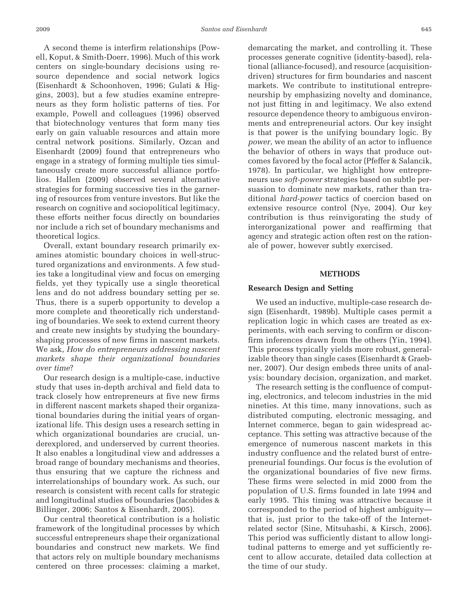A second theme is interfirm relationships (Powell, Koput, & Smith-Doerr, 1996). Much of this work centers on single-boundary decisions using resource dependence and social network logics (Eisenhardt & Schoonhoven, 1996; Gulati & Higgins, 2003), but a few studies examine entrepreneurs as they form holistic patterns of ties. For example, Powell and colleagues (1996) observed that biotechnology ventures that form many ties early on gain valuable resources and attain more central network positions. Similarly, Ozcan and Eisenhardt (2009) found that entrepreneurs who engage in a strategy of forming multiple ties simultaneously create more successful alliance portfolios. Hallen (2009) observed several alternative strategies for forming successive ties in the garnering of resources from venture investors. But like the research on cognitive and sociopolitical legitimacy, these efforts neither focus directly on boundaries nor include a rich set of boundary mechanisms and theoretical logics.

Overall, extant boundary research primarily examines atomistic boundary choices in well-structured organizations and environments. A few studies take a longitudinal view and focus on emerging fields, yet they typically use a single theoretical lens and do not address boundary setting per se. Thus, there is a superb opportunity to develop a more complete and theoretically rich understanding of boundaries. We seek to extend current theory and create new insights by studying the boundaryshaping processes of new firms in nascent markets. We ask, *How do entrepreneurs addressing nascent markets shape their organizational boundaries over time*?

Our research design is a multiple-case, inductive study that uses in-depth archival and field data to track closely how entrepreneurs at five new firms in different nascent markets shaped their organizational boundaries during the initial years of organizational life. This design uses a research setting in which organizational boundaries are crucial, underexplored, and underserved by current theories. It also enables a longitudinal view and addresses a broad range of boundary mechanisms and theories, thus ensuring that we capture the richness and interrelationships of boundary work. As such, our research is consistent with recent calls for strategic and longitudinal studies of boundaries (Jacobides & Billinger, 2006; Santos & Eisenhardt, 2005).

Our central theoretical contribution is a holistic framework of the longitudinal processes by which successful entrepreneurs shape their organizational boundaries and construct new markets. We find that actors rely on multiple boundary mechanisms centered on three processes: claiming a market,

demarcating the market, and controlling it. These processes generate cognitive (identity-based), relational (alliance-focused), and resource (acquisitiondriven) structures for firm boundaries and nascent markets. We contribute to institutional entrepreneurship by emphasizing novelty and dominance, not just fitting in and legitimacy. We also extend resource dependence theory to ambiguous environments and entrepreneurial actors. Our key insight is that power is the unifying boundary logic. By *power*, we mean the ability of an actor to influence the behavior of others in ways that produce outcomes favored by the focal actor (Pfeffer & Salancik, 1978). In particular, we highlight how entrepreneurs use *soft-power* strategies based on subtle persuasion to dominate new markets, rather than traditional *hard-power* tactics of coercion based on extensive resource control (Nye, 2004). Our key contribution is thus reinvigorating the study of interorganizational power and reaffirming that agency and strategic action often rest on the rationale of power, however subtly exercised.

### **METHODS**

#### **Research Design and Setting**

We used an inductive, multiple-case research design (Eisenhardt, 1989b). Multiple cases permit a replication logic in which cases are treated as experiments, with each serving to confirm or disconfirm inferences drawn from the others (Yin, 1994). This process typically yields more robust, generalizable theory than single cases (Eisenhardt & Graebner, 2007). Our design embeds three units of analysis: boundary decision, organization, and market.

The research setting is the confluence of computing, electronics, and telecom industries in the mid nineties. At this time, many innovations, such as distributed computing, electronic messaging, and Internet commerce, began to gain widespread acceptance. This setting was attractive because of the emergence of numerous nascent markets in this industry confluence and the related burst of entrepreneurial foundings. Our focus is the evolution of the organizational boundaries of five new firms. These firms were selected in mid 2000 from the population of U.S. firms founded in late 1994 and early 1995. This timing was attractive because it corresponded to the period of highest ambiguity that is, just prior to the take-off of the Internetrelated sector (Sine, Mitsuhashi, & Kirsch, 2006). This period was sufficiently distant to allow longitudinal patterns to emerge and yet sufficiently recent to allow accurate, detailed data collection at the time of our study.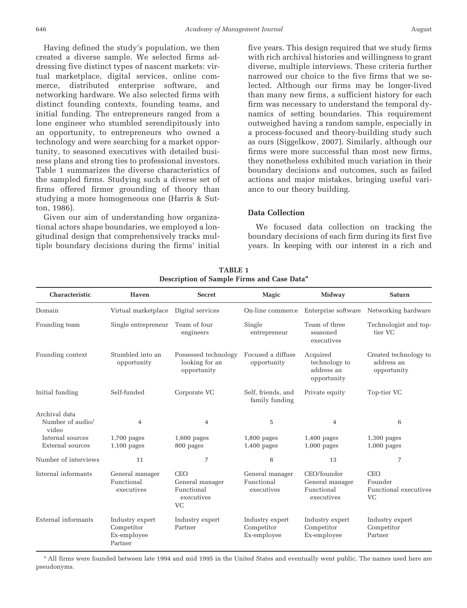Having defined the study's population, we then created a diverse sample. We selected firms addressing five distinct types of nascent markets: virtual marketplace, digital services, online commerce, distributed enterprise software, and networking hardware. We also selected firms with distinct founding contexts, founding teams, and initial funding. The entrepreneurs ranged from a lone engineer who stumbled serendipitously into an opportunity, to entrepreneurs who owned a technology and were searching for a market opportunity, to seasoned executives with detailed business plans and strong ties to professional investors. Table 1 summarizes the diverse characteristics of the sampled firms. Studying such a diverse set of firms offered firmer grounding of theory than studying a more homogeneous one (Harris & Sutton, 1986).

Given our aim of understanding how organizational actors shape boundaries, we employed a longitudinal design that comprehensively tracks multiple boundary decisions during the firms' initial five years. This design required that we study firms with rich archival histories and willingness to grant diverse, multiple interviews. These criteria further narrowed our choice to the five firms that we selected. Although our firms may be longer-lived than many new firms, a sufficient history for each firm was necessary to understand the temporal dynamics of setting boundaries. This requirement outweighed having a random sample, especially in a process-focused and theory-building study such as ours (Siggelkow, 2007). Similarly, although our firms were more successful than most new firms, they nonetheless exhibited much variation in their boundary decisions and outcomes, such as failed actions and major mistakes, bringing useful variance to our theory building.

### **Data Collection**

We focused data collection on tracking the boundary decisions of each firm during its first five years. In keeping with our interest in a rich and

| Characteristic                             | <b>Haven</b>                                            | <b>Secret</b>                                                          | Magic                                        | Midway                                                     | <b>Saturn</b>                                               |
|--------------------------------------------|---------------------------------------------------------|------------------------------------------------------------------------|----------------------------------------------|------------------------------------------------------------|-------------------------------------------------------------|
| Domain                                     | Virtual marketplace                                     | Digital services                                                       | On-line commerce                             | Enterprise software                                        | Networking hardware                                         |
| Founding team                              | Single entrepreneur                                     | Team of four<br>engineers                                              | Single<br>entrepreneur                       | Team of three<br>seasoned<br>executives                    | Technologist and top-<br>tier VC                            |
| Founding context                           | Stumbled into an<br>opportunity                         | Possessed technology<br>looking for an<br>opportunity                  | Focused a diffuse<br>opportunity             | Acquired<br>technology to<br>address an<br>opportunity     | Created technology to<br>address an<br>opportunity          |
| Initial funding                            | Self-funded                                             | Corporate VC                                                           | Self, friends, and<br>family funding         | Private equity                                             | Top-tier VC                                                 |
| Archival data<br>Number of audio/<br>video | 4                                                       | 4                                                                      | $\overline{5}$                               | 4                                                          | 6                                                           |
| Internal sources<br>External sources       | $1,700$ pages<br>$1,100$ pages                          | $1,600$ pages<br>800 pages                                             | $1,800$ pages<br>$1,400$ pages               | $1,400$ pages<br>$1,000$ pages                             | $1,300$ pages<br>$1,000$ pages                              |
| Number of interviews                       | 11                                                      | $\overline{7}$                                                         | 8                                            | 13                                                         | 7                                                           |
| Internal informants                        | General manager<br>Functional<br>executives             | <b>CEO</b><br>General manager<br>Functional<br>executives<br><b>VC</b> | General manager<br>Functional<br>executives  | CEO/founder<br>General manager<br>Functional<br>executives | <b>CEO</b><br>Founder<br>Functional executives<br><b>VC</b> |
| External informants                        | Industry expert<br>Competitor<br>Ex-employee<br>Partner | Industry expert<br>Partner                                             | Industry expert<br>Competitor<br>Ex-employee | Industry expert<br>Competitor<br>Ex-employee               | Industry expert<br>Competitor<br>Partner                    |

**TABLE 1 Description of Sample Firms and Case Dataa**

<sup>a</sup> All firms were founded between late 1994 and mid 1995 in the United States and eventually went public. The names used here are pseudonyms.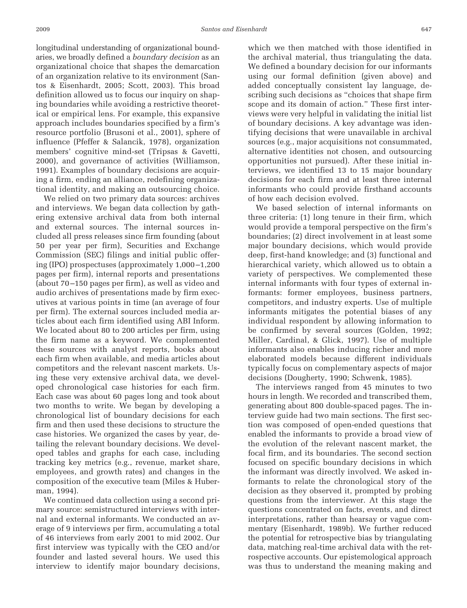longitudinal understanding of organizational boundaries, we broadly defined a *boundary decision* as an organizational choice that shapes the demarcation of an organization relative to its environment (Santos & Eisenhardt, 2005; Scott, 2003). This broad definition allowed us to focus our inquiry on shaping boundaries while avoiding a restrictive theoretical or empirical lens. For example, this expansive approach includes boundaries specified by a firm's resource portfolio (Brusoni et al., 2001), sphere of influence (Pfeffer & Salancik, 1978), organization members' cognitive mind-set (Tripsas & Gavetti, 2000), and governance of activities (Williamson, 1991). Examples of boundary decisions are acquiring a firm, ending an alliance, redefining organizational identity, and making an outsourcing choice.

We relied on two primary data sources: archives and interviews. We began data collection by gathering extensive archival data from both internal and external sources. The internal sources included all press releases since firm founding (about 50 per year per firm), Securities and Exchange Commission (SEC) filings and initial public offering (IPO) prospectuses (approximately 1,000 –1,200 pages per firm), internal reports and presentations (about 70 –150 pages per firm), as well as video and audio archives of presentations made by firm executives at various points in time (an average of four per firm). The external sources included media articles about each firm identified using ABI Inform. We located about 80 to 200 articles per firm, using the firm name as a keyword. We complemented these sources with analyst reports, books about each firm when available, and media articles about competitors and the relevant nascent markets. Using these very extensive archival data, we developed chronological case histories for each firm. Each case was about 60 pages long and took about two months to write. We began by developing a chronological list of boundary decisions for each firm and then used these decisions to structure the case histories. We organized the cases by year, detailing the relevant boundary decisions. We developed tables and graphs for each case, including tracking key metrics (e.g., revenue, market share, employees, and growth rates) and changes in the composition of the executive team (Miles & Huberman, 1994).

We continued data collection using a second primary source: semistructured interviews with internal and external informants. We conducted an average of 9 interviews per firm, accumulating a total of 46 interviews from early 2001 to mid 2002. Our first interview was typically with the CEO and/or founder and lasted several hours. We used this interview to identify major boundary decisions,

which we then matched with those identified in the archival material, thus triangulating the data. We defined a boundary decision for our informants using our formal definition (given above) and added conceptually consistent lay language, describing such decisions as "choices that shape firm scope and its domain of action." These first interviews were very helpful in validating the initial list of boundary decisions. A key advantage was identifying decisions that were unavailable in archival sources (e.g., major acquisitions not consummated, alternative identities not chosen, and outsourcing opportunities not pursued). After these initial interviews, we identified 13 to 15 major boundary decisions for each firm and at least three internal informants who could provide firsthand accounts of how each decision evolved.

We based selection of internal informants on three criteria: (1) long tenure in their firm, which would provide a temporal perspective on the firm's boundaries; (2) direct involvement in at least some major boundary decisions, which would provide deep, first-hand knowledge; and (3) functional and hierarchical variety, which allowed us to obtain a variety of perspectives. We complemented these internal informants with four types of external informants: former employees, business partners, competitors, and industry experts. Use of multiple informants mitigates the potential biases of any individual respondent by allowing information to be confirmed by several sources (Golden, 1992; Miller, Cardinal, & Glick, 1997). Use of multiple informants also enables inducing richer and more elaborated models because different individuals typically focus on complementary aspects of major decisions (Dougherty, 1990; Schwenk, 1985).

The interviews ranged from 45 minutes to two hours in length. We recorded and transcribed them, generating about 800 double-spaced pages. The interview guide had two main sections. The first section was composed of open-ended questions that enabled the informants to provide a broad view of the evolution of the relevant nascent market, the focal firm, and its boundaries. The second section focused on specific boundary decisions in which the informant was directly involved. We asked informants to relate the chronological story of the decision as they observed it, prompted by probing questions from the interviewer. At this stage the questions concentrated on facts, events, and direct interpretations, rather than hearsay or vague commentary (Eisenhardt, 1989b). We further reduced the potential for retrospective bias by triangulating data, matching real-time archival data with the retrospective accounts. Our epistemological approach was thus to understand the meaning making and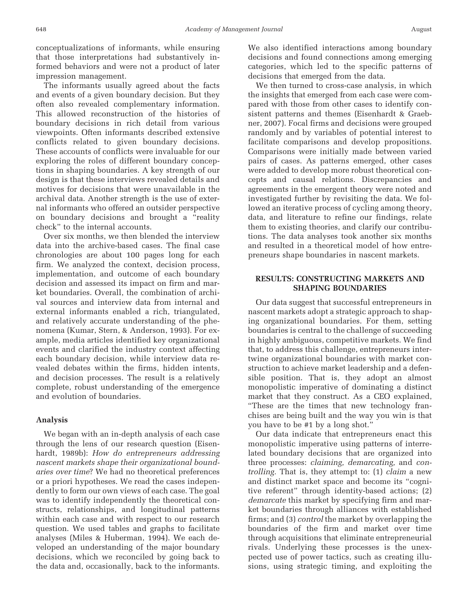conceptualizations of informants, while ensuring that those interpretations had substantively informed behaviors and were not a product of later impression management.

The informants usually agreed about the facts and events of a given boundary decision. But they often also revealed complementary information. This allowed reconstruction of the histories of boundary decisions in rich detail from various viewpoints. Often informants described extensive conflicts related to given boundary decisions. These accounts of conflicts were invaluable for our exploring the roles of different boundary conceptions in shaping boundaries. A key strength of our design is that these interviews revealed details and motives for decisions that were unavailable in the archival data. Another strength is the use of external informants who offered an outsider perspective on boundary decisions and brought a "reality check" to the internal accounts.

Over six months, we then blended the interview data into the archive-based cases. The final case chronologies are about 100 pages long for each firm. We analyzed the context, decision process, implementation, and outcome of each boundary decision and assessed its impact on firm and market boundaries. Overall, the combination of archival sources and interview data from internal and external informants enabled a rich, triangulated, and relatively accurate understanding of the phenomena (Kumar, Stern, & Anderson, 1993). For example, media articles identified key organizational events and clarified the industry context affecting each boundary decision, while interview data revealed debates within the firms, hidden intents, and decision processes. The result is a relatively complete, robust understanding of the emergence and evolution of boundaries.

### **Analysis**

We began with an in-depth analysis of each case through the lens of our research question (Eisenhardt, 1989b): *How do entrepreneurs addressing nascent markets shape their organizational boundaries over time*? We had no theoretical preferences or a priori hypotheses. We read the cases independently to form our own views of each case. The goal was to identify independently the theoretical constructs, relationships, and longitudinal patterns within each case and with respect to our research question. We used tables and graphs to facilitate analyses (Miles & Huberman, 1994). We each developed an understanding of the major boundary decisions, which we reconciled by going back to the data and, occasionally, back to the informants.

We also identified interactions among boundary decisions and found connections among emerging categories, which led to the specific patterns of decisions that emerged from the data.

We then turned to cross-case analysis, in which the insights that emerged from each case were compared with those from other cases to identify consistent patterns and themes (Eisenhardt & Graebner, 2007). Focal firms and decisions were grouped randomly and by variables of potential interest to facilitate comparisons and develop propositions. Comparisons were initially made between varied pairs of cases. As patterns emerged, other cases were added to develop more robust theoretical concepts and causal relations. Discrepancies and agreements in the emergent theory were noted and investigated further by revisiting the data. We followed an iterative process of cycling among theory, data, and literature to refine our findings, relate them to existing theories, and clarify our contributions. The data analyses took another six months and resulted in a theoretical model of how entrepreneurs shape boundaries in nascent markets.

# **RESULTS: CONSTRUCTING MARKETS AND SHAPING BOUNDARIES**

Our data suggest that successful entrepreneurs in nascent markets adopt a strategic approach to shaping organizational boundaries. For them, setting boundaries is central to the challenge of succeeding in highly ambiguous, competitive markets. We find that, to address this challenge, entrepreneurs intertwine organizational boundaries with market construction to achieve market leadership and a defensible position. That is, they adopt an almost monopolistic imperative of dominating a distinct market that they construct. As a CEO explained, "These are the times that new technology franchises are being built and the way you win is that you have to be #1 by a long shot."

Our data indicate that entrepreneurs enact this monopolistic imperative using patterns of interrelated boundary decisions that are organized into three processes: *claiming, demarcating,* and *controlling.* That is, they attempt to: (1) *claim* a new and distinct market space and become its "cognitive referent" through identity-based actions; (2) *demarcate* this market by specifying firm and market boundaries through alliances with established firms; and (3) *control* the market by overlapping the boundaries of the firm and market over time through acquisitions that eliminate entrepreneurial rivals. Underlying these processes is the unexpected use of power tactics, such as creating illusions, using strategic timing, and exploiting the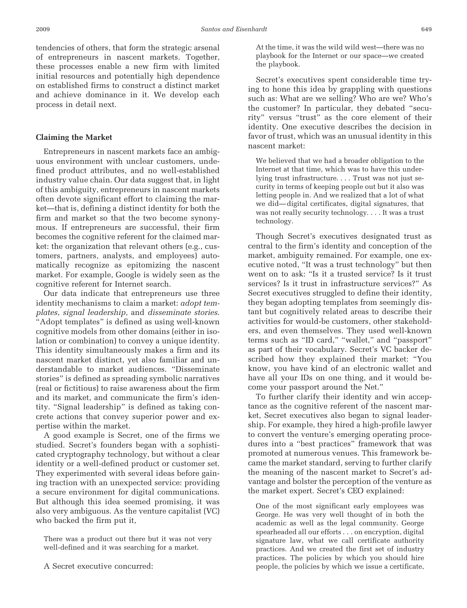tendencies of others, that form the strategic arsenal of entrepreneurs in nascent markets. Together, these processes enable a new firm with limited initial resources and potentially high dependence on established firms to construct a distinct market and achieve dominance in it. We develop each process in detail next.

# **Claiming the Market**

Entrepreneurs in nascent markets face an ambiguous environment with unclear customers, undefined product attributes, and no well-established industry value chain. Our data suggest that, in light of this ambiguity, entrepreneurs in nascent markets often devote significant effort to claiming the market—that is, defining a distinct identity for both the firm and market so that the two become synonymous. If entrepreneurs are successful, their firm becomes the cognitive referent for the claimed market: the organization that relevant others (e.g., customers, partners, analysts, and employees) automatically recognize as epitomizing the nascent market. For example, Google is widely seen as the cognitive referent for Internet search.

Our data indicate that entrepreneurs use three identity mechanisms to claim a market: *adopt templates*, *signal leadership*, and *disseminate stories*. "Adopt templates" is defined as using well-known cognitive models from other domains (either in isolation or combination) to convey a unique identity. This identity simultaneously makes a firm and its nascent market distinct, yet also familiar and understandable to market audiences. "Disseminate stories" is defined as spreading symbolic narratives (real or fictitious) to raise awareness about the firm and its market, and communicate the firm's identity. "Signal leadership" is defined as taking concrete actions that convey superior power and expertise within the market.

A good example is Secret, one of the firms we studied. Secret's founders began with a sophisticated cryptography technology, but without a clear identity or a well-defined product or customer set. They experimented with several ideas before gaining traction with an unexpected service: providing a secure environment for digital communications. But although this idea seemed promising, it was also very ambiguous. As the venture capitalist (VC) who backed the firm put it,

There was a product out there but it was not very well-defined and it was searching for a market.

A Secret executive concurred:

At the time, it was the wild wild west—there was no playbook for the Internet or our space—we created the playbook.

Secret's executives spent considerable time trying to hone this idea by grappling with questions such as: What are we selling? Who are we? Who's the customer? In particular, they debated "security" versus "trust" as the core element of their identity. One executive describes the decision in favor of trust, which was an unusual identity in this nascent market:

We believed that we had a broader obligation to the Internet at that time, which was to have this underlying trust infrastructure.... Trust was not just security in terms of keeping people out but it also was letting people in. And we realized that a lot of what we did—digital certificates, digital signatures, that was not really security technology. . . . It was a trust technology.

Though Secret's executives designated trust as central to the firm's identity and conception of the market, ambiguity remained. For example, one executive noted, "It was a trust technology" but then went on to ask: "Is it a trusted service? Is it trust services? Is it trust in infrastructure services?" As Secret executives struggled to define their identity, they began adopting templates from seemingly distant but cognitively related areas to describe their activities for would-be customers, other stakeholders, and even themselves. They used well-known terms such as "ID card," "wallet," and "passport" as part of their vocabulary. Secret's VC backer described how they explained their market: "You know, you have kind of an electronic wallet and have all your IDs on one thing, and it would become your passport around the Net."

To further clarify their identity and win acceptance as the cognitive referent of the nascent market, Secret executives also began to signal leadership. For example, they hired a high-profile lawyer to convert the venture's emerging operating procedures into a "best practices" framework that was promoted at numerous venues. This framework became the market standard, serving to further clarify the meaning of the nascent market to Secret's advantage and bolster the perception of the venture as the market expert. Secret's CEO explained:

One of the most significant early employees was George. He was very well thought of in both the academic as well as the legal community. George spearheaded all our efforts . . . on encryption, digital signature law, what we call certificate authority practices. And we created the first set of industry practices. The policies by which you should hire people, the policies by which we issue a certificate,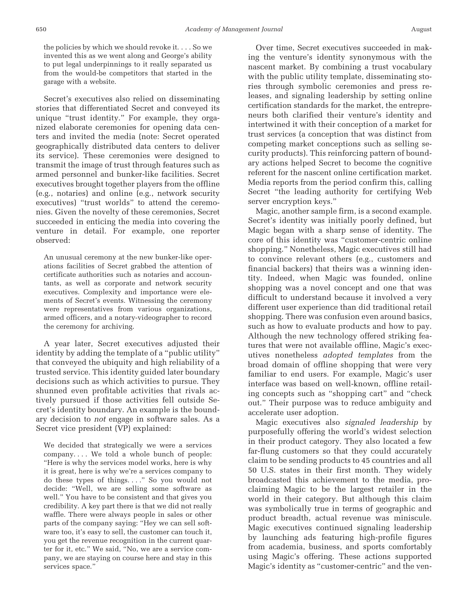the policies by which we should revoke it. . . . So we invented this as we went along and George's ability to put legal underpinnings to it really separated us from the would-be competitors that started in the garage with a website.

Secret's executives also relied on disseminating stories that differentiated Secret and conveyed its unique "trust identity." For example, they organized elaborate ceremonies for opening data centers and invited the media (note: Secret operated geographically distributed data centers to deliver its service). These ceremonies were designed to transmit the image of trust through features such as armed personnel and bunker-like facilities. Secret executives brought together players from the offline (e.g., notaries) and online (e.g., network security executives) "trust worlds" to attend the ceremonies. Given the novelty of these ceremonies, Secret succeeded in enticing the media into covering the venture in detail. For example, one reporter observed:

An unusual ceremony at the new bunker-like operations facilities of Secret grabbed the attention of certificate authorities such as notaries and accountants, as well as corporate and network security executives. Complexity and importance were elements of Secret's events. Witnessing the ceremony were representatives from various organizations, armed officers, and a notary-videographer to record the ceremony for archiving.

A year later, Secret executives adjusted their identity by adding the template of a "public utility" that conveyed the ubiquity and high reliability of a trusted service. This identity guided later boundary decisions such as which activities to pursue. They shunned even profitable activities that rivals actively pursued if those activities fell outside Secret's identity boundary. An example is the boundary decision to *not* engage in software sales. As a Secret vice president (VP) explained:

We decided that strategically we were a services company. . . . We told a whole bunch of people: "Here is why the services model works, here is why it is great, here is why we're a services company to do these types of things. . . ." So you would not decide: "Well, we are selling some software as well." You have to be consistent and that gives you credibility. A key part there is that we did not really waffle. There were always people in sales or other parts of the company saying: "Hey we can sell software too, it's easy to sell, the customer can touch it, you get the revenue recognition in the current quarter for it, etc." We said, "No, we are a service company, we are staying on course here and stay in this services space."

Over time, Secret executives succeeded in making the venture's identity synonymous with the nascent market. By combining a trust vocabulary with the public utility template, disseminating stories through symbolic ceremonies and press releases, and signaling leadership by setting online certification standards for the market, the entrepreneurs both clarified their venture's identity and intertwined it with their conception of a market for trust services (a conception that was distinct from competing market conceptions such as selling security products). This reinforcing pattern of boundary actions helped Secret to become the cognitive referent for the nascent online certification market. Media reports from the period confirm this, calling Secret "the leading authority for certifying Web server encryption keys."

Magic, another sample firm, is a second example. Secret's identity was initially poorly defined, but Magic began with a sharp sense of identity. The core of this identity was "customer-centric online shopping." Nonetheless, Magic executives still had to convince relevant others (e.g., customers and financial backers) that theirs was a winning identity. Indeed, when Magic was founded, online shopping was a novel concept and one that was difficult to understand because it involved a very different user experience than did traditional retail shopping. There was confusion even around basics, such as how to evaluate products and how to pay. Although the new technology offered striking features that were not available offline, Magic's executives nonetheless *adopted templates* from the broad domain of offline shopping that were very familiar to end users. For example, Magic's user interface was based on well-known, offline retailing concepts such as "shopping cart" and "check out." Their purpose was to reduce ambiguity and accelerate user adoption.

Magic executives also *signaled leadership* by purposefully offering the world's widest selection in their product category. They also located a few far-flung customers so that they could accurately claim to be sending products to 45 countries and all 50 U.S. states in their first month. They widely broadcasted this achievement to the media, proclaiming Magic to be the largest retailer in the world in their category. But although this claim was symbolically true in terms of geographic and product breadth, actual revenue was miniscule. Magic executives continued signaling leadership by launching ads featuring high-profile figures from academia, business, and sports comfortably using Magic's offering. These actions supported Magic's identity as "customer-centric" and the ven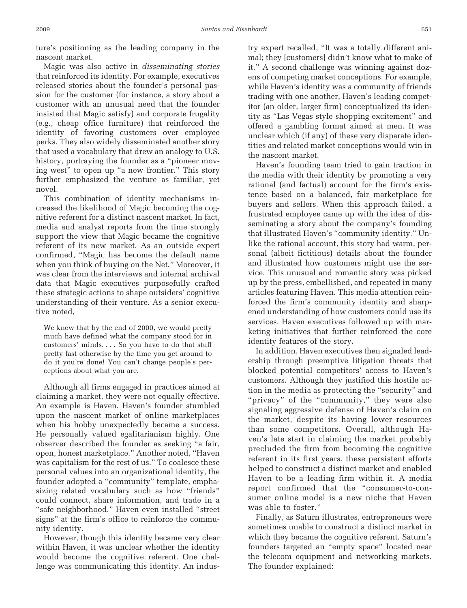ture's positioning as the leading company in the nascent market.

Magic was also active in *disseminating stories* that reinforced its identity. For example, executives released stories about the founder's personal passion for the customer (for instance, a story about a customer with an unusual need that the founder insisted that Magic satisfy) and corporate frugality (e.g., cheap office furniture) that reinforced the identity of favoring customers over employee perks. They also widely disseminated another story that used a vocabulary that drew an analogy to U.S. history, portraying the founder as a "pioneer moving west" to open up "a new frontier." This story further emphasized the venture as familiar, yet novel.

This combination of identity mechanisms increased the likelihood of Magic becoming the cognitive referent for a distinct nascent market. In fact, media and analyst reports from the time strongly support the view that Magic became the cognitive referent of its new market. As an outside expert confirmed, "Magic has become the default name when you think of buying on the Net." Moreover, it was clear from the interviews and internal archival data that Magic executives purposefully crafted these strategic actions to shape outsiders' cognitive understanding of their venture. As a senior executive noted,

We knew that by the end of 2000, we would pretty much have defined what the company stood for in customers' minds. . . . So you have to do that stuff pretty fast otherwise by the time you get around to do it you're done! You can't change people's perceptions about what you are.

Although all firms engaged in practices aimed at claiming a market, they were not equally effective. An example is Haven. Haven's founder stumbled upon the nascent market of online marketplaces when his hobby unexpectedly became a success. He personally valued egalitarianism highly. One observer described the founder as seeking "a fair, open, honest marketplace." Another noted, "Haven was capitalism for the rest of us." To coalesce these personal values into an organizational identity, the founder adopted a "community" template, emphasizing related vocabulary such as how "friends" could connect, share information, and trade in a "safe neighborhood." Haven even installed "street signs" at the firm's office to reinforce the community identity.

However, though this identity became very clear within Haven, it was unclear whether the identity would become the cognitive referent. One challenge was communicating this identity. An industry expert recalled, "It was a totally different animal; they [customers] didn't know what to make of it." A second challenge was winning against dozens of competing market conceptions. For example, while Haven's identity was a community of friends trading with one another, Haven's leading competitor (an older, larger firm) conceptualized its identity as "Las Vegas style shopping excitement" and offered a gambling format aimed at men. It was unclear which (if any) of these very disparate identities and related market conceptions would win in the nascent market.

Haven's founding team tried to gain traction in the media with their identity by promoting a very rational (and factual) account for the firm's existence based on a balanced, fair marketplace for buyers and sellers. When this approach failed, a frustrated employee came up with the idea of disseminating a story about the company's founding that illustrated Haven's "community identity." Unlike the rational account, this story had warm, personal (albeit fictitious) details about the founder and illustrated how customers might use the service. This unusual and romantic story was picked up by the press, embellished, and repeated in many articles featuring Haven. This media attention reinforced the firm's community identity and sharpened understanding of how customers could use its services. Haven executives followed up with marketing initiatives that further reinforced the core identity features of the story.

In addition, Haven executives then signaled leadership through preemptive litigation threats that blocked potential competitors' access to Haven's customers. Although they justified this hostile action in the media as protecting the "security" and "privacy" of the "community," they were also signaling aggressive defense of Haven's claim on the market, despite its having lower resources than some competitors. Overall, although Haven's late start in claiming the market probably precluded the firm from becoming the cognitive referent in its first years, these persistent efforts helped to construct a distinct market and enabled Haven to be a leading firm within it. A media report confirmed that the "consumer-to-consumer online model is a new niche that Haven was able to foster."

Finally, as Saturn illustrates, entrepreneurs were sometimes unable to construct a distinct market in which they became the cognitive referent. Saturn's founders targeted an "empty space" located near the telecom equipment and networking markets. The founder explained: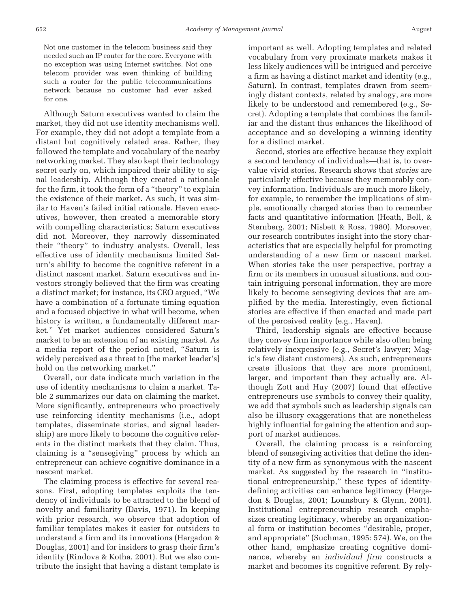Not one customer in the telecom business said they needed such an IP router for the core. Everyone with no exception was using Internet switches. Not one telecom provider was even thinking of building such a router for the public telecommunications network because no customer had ever asked for one.

Although Saturn executives wanted to claim the market, they did not use identity mechanisms well. For example, they did not adopt a template from a distant but cognitively related area. Rather, they followed the template and vocabulary of the nearby networking market. They also kept their technology secret early on, which impaired their ability to signal leadership. Although they created a rationale for the firm, it took the form of a "theory" to explain the existence of their market. As such, it was similar to Haven's failed initial rationale. Haven executives, however, then created a memorable story with compelling characteristics; Saturn executives did not. Moreover, they narrowly disseminated their "theory" to industry analysts. Overall, less effective use of identity mechanisms limited Saturn's ability to become the cognitive referent in a distinct nascent market. Saturn executives and investors strongly believed that the firm was creating a distinct market; for instance, its CEO argued, "We have a combination of a fortunate timing equation and a focused objective in what will become, when history is written, a fundamentally different market." Yet market audiences considered Saturn's market to be an extension of an existing market. As a media report of the period noted, "Saturn is widely perceived as a threat to [the market leader's] hold on the networking market."

Overall, our data indicate much variation in the use of identity mechanisms to claim a market. Table 2 summarizes our data on claiming the market. More significantly, entrepreneurs who proactively use reinforcing identity mechanisms (i.e., adopt templates, disseminate stories, and signal leadership) are more likely to become the cognitive referents in the distinct markets that they claim. Thus, claiming is a "sensegiving" process by which an entrepreneur can achieve cognitive dominance in a nascent market.

The claiming process is effective for several reasons. First, adopting templates exploits the tendency of individuals to be attracted to the blend of novelty and familiarity (Davis, 1971). In keeping with prior research, we observe that adoption of familiar templates makes it easier for outsiders to understand a firm and its innovations (Hargadon & Douglas, 2001) and for insiders to grasp their firm's identity (Rindova & Kotha, 2001). But we also contribute the insight that having a distant template is

important as well. Adopting templates and related vocabulary from very proximate markets makes it less likely audiences will be intrigued and perceive a firm as having a distinct market and identity (e.g., Saturn). In contrast, templates drawn from seemingly distant contexts, related by analogy, are more likely to be understood and remembered (e.g., Secret). Adopting a template that combines the familiar and the distant thus enhances the likelihood of acceptance and so developing a winning identity for a distinct market.

Second, stories are effective because they exploit a second tendency of individuals—that is, to overvalue vivid stories. Research shows that *stories* are particularly effective because they memorably convey information. Individuals are much more likely, for example, to remember the implications of simple, emotionally charged stories than to remember facts and quantitative information (Heath, Bell, & Sternberg, 2001; Nisbett & Ross, 1980). Moreover, our research contributes insight into the story characteristics that are especially helpful for promoting understanding of a new firm or nascent market. When stories take the user perspective, portray a firm or its members in unusual situations, and contain intriguing personal information, they are more likely to become sensegiving devices that are amplified by the media. Interestingly, even fictional stories are effective if then enacted and made part of the perceived reality (e.g., Haven).

Third, leadership signals are effective because they convey firm importance while also often being relatively inexpensive (e.g., Secret's lawyer; Magic's few distant customers). As such, entrepreneurs create illusions that they are more prominent, larger, and important than they actually are. Although Zott and Huy (2007) found that effective entrepreneurs use symbols to convey their quality, we add that symbols such as leadership signals can also be illusory exaggerations that are nonetheless highly influential for gaining the attention and support of market audiences.

Overall, the claiming process is a reinforcing blend of sensegiving activities that define the identity of a new firm as synonymous with the nascent market. As suggested by the research in "institutional entrepreneurship," these types of identitydefining activities can enhance legitimacy (Hargadon & Douglas, 2001; Lounsbury & Glynn, 2001). Institutional entrepreneurship research emphasizes creating legitimacy, whereby an organizational form or institution becomes "desirable, proper, and appropriate" (Suchman, 1995: 574). We, on the other hand, emphasize creating cognitive dominance, whereby an *individual firm* constructs a market and becomes its cognitive referent. By rely-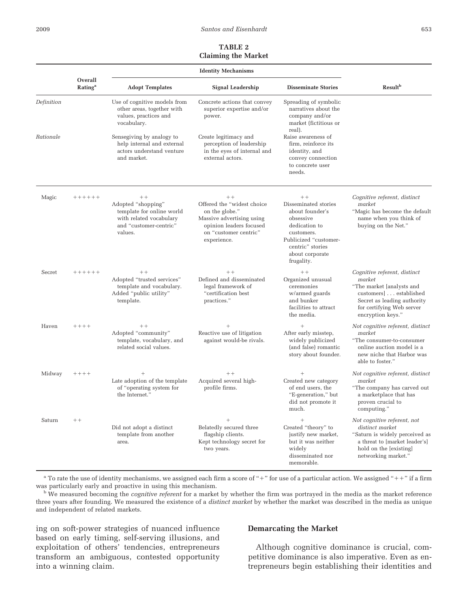### **TABLE 2 Claiming the Market**

|            | Overall<br><b>Rating</b> <sup>a</sup> | <b>Adopt Templates</b>                                                                                                  | Signal Leadership                                                                                                                                    | <b>Disseminate Stories</b>                                                                                                                                                | <b>Result</b> <sup>b</sup>                                                                                                                                                    |
|------------|---------------------------------------|-------------------------------------------------------------------------------------------------------------------------|------------------------------------------------------------------------------------------------------------------------------------------------------|---------------------------------------------------------------------------------------------------------------------------------------------------------------------------|-------------------------------------------------------------------------------------------------------------------------------------------------------------------------------|
| Definition |                                       | Use of cognitive models from<br>other areas, together with<br>values, practices and<br>vocabulary.                      | Concrete actions that convey<br>superior expertise and/or<br>power.                                                                                  | Spreading of symbolic<br>narratives about the<br>company and/or<br>market (fictitious or<br>real).                                                                        |                                                                                                                                                                               |
| Rationale  |                                       | Sensegiving by analogy to<br>help internal and external<br>actors understand venture<br>and market.                     | Create legitimacy and<br>perception of leadership<br>in the eyes of internal and<br>external actors.                                                 | Raise awareness of<br>firm, reinforce its<br>identity, and<br>convey connection<br>to concrete user<br>needs.                                                             |                                                                                                                                                                               |
| Magic      | $+++++$                               | $++$<br>Adopted "shopping"<br>template for online world<br>with related vocabulary<br>and "customer-centric"<br>values. | $++$<br>Offered the "widest choice<br>on the globe."<br>Massive advertising using<br>opinion leaders focused<br>on "customer centric"<br>experience. | $++$<br>Disseminated stories<br>about founder's<br>obsessive<br>dedication to<br>customers.<br>Publicized "customer-<br>centric" stories<br>about corporate<br>frugality. | Cognitive referent, distinct<br>market<br>"Magic has become the default<br>name when you think of<br>buying on the Net."                                                      |
| Secret     | $+++++$                               | $+ +$<br>Adopted "trusted services"<br>template and vocabulary.<br>Added "public utility"<br>template.                  | $++$<br>Defined and disseminated<br>legal framework of<br>"certification best<br>practices."                                                         | $++$<br>Organized unusual<br>ceremonies<br>w/armed guards<br>and bunker<br>facilities to attract<br>the media.                                                            | Cognitive referent, distinct<br>market<br>"The market [analysts and<br>customers]established<br>Secret as leading authority<br>for certifying Web server<br>encryption keys." |
| Haven      | $+++++$                               | $+ +$<br>Adopted "community"<br>template, vocabulary, and<br>related social values.                                     | $^{+}$<br>Reactive use of litigation<br>against would-be rivals.                                                                                     | $^{+}$<br>After early misstep,<br>widely publicized<br>(and false) romantic<br>story about founder.                                                                       | Not cognitive referent, distinct<br>market<br>"The consumer-to-consumer<br>online auction model is a<br>new niche that Harbor was<br>able to foster."                         |
| Midway     | $+++++$                               | $\ddot{}$<br>Late adoption of the template<br>of "operating system for<br>the Internet."                                | $++$<br>Acquired several high-<br>profile firms.                                                                                                     | $^{+}$<br>Created new category<br>of end users, the<br>"E-generation," but<br>did not promote it<br>much.                                                                 | Not cognitive referent, distinct<br>market<br>"The company has carved out<br>a marketplace that has<br>proven crucial to<br>computing."                                       |
| Saturn     | $++$                                  | Did not adopt a distinct<br>template from another<br>area.                                                              | $^{+}$<br>Belatedly secured three<br>flagship clients.<br>Kept technology secret for<br>two years.                                                   | Created "theory" to<br>justify new market,<br>but it was neither<br>widely<br>disseminated nor<br>memorable.                                                              | Not cognitive referent, not<br>distinct market<br>"Saturn is widely perceived as<br>a threat to [market leader's]<br>hold on the [existing]<br>networking market."            |

<sup>a</sup> To rate the use of identity mechanisms, we assigned each firm a score of "+" for use of a particular action. We assigned "++" if a firm was particularly early and proactive in using this mechanism.

<sup>b</sup> We measured becoming the *cognitive referent* for a market by whether the firm was portrayed in the media as the market reference three years after founding. We measured the existence of a *distinct market* by whether the market was described in the media as unique and independent of related markets.

ing on soft-power strategies of nuanced influence based on early timing, self-serving illusions, and exploitation of others' tendencies, entrepreneurs transform an ambiguous, contested opportunity into a winning claim.

#### **Demarcating the Market**

Although cognitive dominance is crucial, competitive dominance is also imperative. Even as entrepreneurs begin establishing their identities and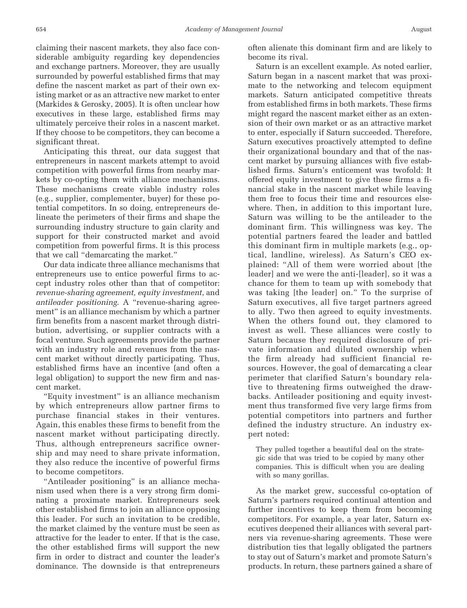claiming their nascent markets, they also face considerable ambiguity regarding key dependencies and exchange partners. Moreover, they are usually surrounded by powerful established firms that may define the nascent market as part of their own existing market or as an attractive new market to enter (Markides & Gerosky, 2005). It is often unclear how executives in these large, established firms may

ultimately perceive their roles in a nascent market. If they choose to be competitors, they can become a significant threat.

Anticipating this threat, our data suggest that entrepreneurs in nascent markets attempt to avoid competition with powerful firms from nearby markets by co-opting them with alliance mechanisms. These mechanisms create viable industry roles (e.g., supplier, complementer, buyer) for these potential competitors. In so doing, entrepreneurs delineate the perimeters of their firms and shape the surrounding industry structure to gain clarity and support for their constructed market and avoid competition from powerful firms. It is this process that we call "demarcating the market."

Our data indicate three alliance mechanisms that entrepreneurs use to entice powerful firms to accept industry roles other than that of competitor: *revenue-sharing agreement, equity investment*, and *antileader positioning*. A "revenue-sharing agreement" is an alliance mechanism by which a partner firm benefits from a nascent market through distribution, advertising, or supplier contracts with a focal venture. Such agreements provide the partner with an industry role and revenues from the nascent market without directly participating. Thus, established firms have an incentive (and often a legal obligation) to support the new firm and nascent market.

"Equity investment" is an alliance mechanism by which entrepreneurs allow partner firms to purchase financial stakes in their ventures. Again, this enables these firms to benefit from the nascent market without participating directly. Thus, although entrepreneurs sacrifice ownership and may need to share private information, they also reduce the incentive of powerful firms to become competitors.

"Antileader positioning" is an alliance mechanism used when there is a very strong firm dominating a proximate market. Entrepreneurs seek other established firms to join an alliance opposing this leader. For such an invitation to be credible, the market claimed by the venture must be seen as attractive for the leader to enter. If that is the case, the other established firms will support the new firm in order to distract and counter the leader's dominance. The downside is that entrepreneurs

often alienate this dominant firm and are likely to become its rival.

Saturn is an excellent example. As noted earlier, Saturn began in a nascent market that was proximate to the networking and telecom equipment markets. Saturn anticipated competitive threats from established firms in both markets. These firms might regard the nascent market either as an extension of their own market or as an attractive market to enter, especially if Saturn succeeded. Therefore, Saturn executives proactively attempted to define their organizational boundary and that of the nascent market by pursuing alliances with five established firms. Saturn's enticement was twofold: It offered equity investment to give these firms a financial stake in the nascent market while leaving them free to focus their time and resources elsewhere. Then, in addition to this important lure, Saturn was willing to be the antileader to the dominant firm. This willingness was key. The potential partners feared the leader and battled this dominant firm in multiple markets (e.g., optical, landline, wireless). As Saturn's CEO explained: "All of them were worried about [the leader] and we were the anti-[leader], so it was a chance for them to team up with somebody that was taking [the leader] on." To the surprise of Saturn executives, all five target partners agreed to ally. Two then agreed to equity investments. When the others found out, they clamored to invest as well. These alliances were costly to Saturn because they required disclosure of private information and diluted ownership when the firm already had sufficient financial resources. However, the goal of demarcating a clear perimeter that clarified Saturn's boundary relative to threatening firms outweighed the drawbacks. Antileader positioning and equity investment thus transformed five very large firms from potential competitors into partners and further defined the industry structure. An industry expert noted:

They pulled together a beautiful deal on the strategic side that was tried to be copied by many other companies. This is difficult when you are dealing with so many gorillas.

As the market grew, successful co-optation of Saturn's partners required continual attention and further incentives to keep them from becoming competitors. For example, a year later, Saturn executives deepened their alliances with several partners via revenue-sharing agreements. These were distribution ties that legally obligated the partners to stay out of Saturn's market and promote Saturn's products. In return, these partners gained a share of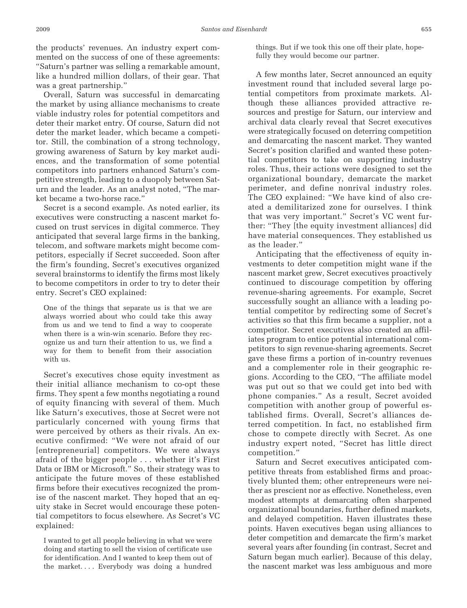the products' revenues. An industry expert commented on the success of one of these agreements: "Saturn's partner was selling a remarkable amount, like a hundred million dollars, of their gear. That was a great partnership."

Overall, Saturn was successful in demarcating the market by using alliance mechanisms to create viable industry roles for potential competitors and deter their market entry. Of course, Saturn did not deter the market leader, which became a competitor. Still, the combination of a strong technology, growing awareness of Saturn by key market audiences, and the transformation of some potential competitors into partners enhanced Saturn's competitive strength, leading to a duopoly between Saturn and the leader. As an analyst noted, "The market became a two-horse race."

Secret is a second example. As noted earlier, its executives were constructing a nascent market focused on trust services in digital commerce. They anticipated that several large firms in the banking, telecom, and software markets might become competitors, especially if Secret succeeded. Soon after the firm's founding, Secret's executives organized several brainstorms to identify the firms most likely to become competitors in order to try to deter their entry. Secret's CEO explained:

One of the things that separate us is that we are always worried about who could take this away from us and we tend to find a way to cooperate when there is a win-win scenario. Before they recognize us and turn their attention to us, we find a way for them to benefit from their association with us.

Secret's executives chose equity investment as their initial alliance mechanism to co-opt these firms. They spent a few months negotiating a round of equity financing with several of them. Much like Saturn's executives, those at Secret were not particularly concerned with young firms that were perceived by others as their rivals. An executive confirmed: "We were not afraid of our [entrepreneurial] competitors. We were always afraid of the bigger people . . . whether it's First Data or IBM or Microsoft." So, their strategy was to anticipate the future moves of these established firms before their executives recognized the promise of the nascent market. They hoped that an equity stake in Secret would encourage these potential competitors to focus elsewhere. As Secret's VC explained:

I wanted to get all people believing in what we were doing and starting to sell the vision of certificate use for identification. And I wanted to keep them out of the market.... Everybody was doing a hundred

things. But if we took this one off their plate, hopefully they would become our partner.

A few months later, Secret announced an equity investment round that included several large potential competitors from proximate markets. Although these alliances provided attractive resources and prestige for Saturn, our interview and archival data clearly reveal that Secret executives were strategically focused on deterring competition and demarcating the nascent market. They wanted Secret's position clarified and wanted these potential competitors to take on supporting industry roles. Thus, their actions were designed to set the organizational boundary, demarcate the market perimeter, and define nonrival industry roles. The CEO explained: "We have kind of also created a demilitarized zone for ourselves. I think that was very important." Secret's VC went further: "They [the equity investment alliances] did have material consequences. They established us as the leader."

Anticipating that the effectiveness of equity investments to deter competition might wane if the nascent market grew, Secret executives proactively continued to discourage competition by offering revenue-sharing agreements. For example, Secret successfully sought an alliance with a leading potential competitor by redirecting some of Secret's activities so that this firm became a supplier, not a competitor. Secret executives also created an affiliates program to entice potential international competitors to sign revenue-sharing agreements. Secret gave these firms a portion of in-country revenues and a complementer role in their geographic regions. According to the CEO, "The affiliate model was put out so that we could get into bed with phone companies." As a result, Secret avoided competition with another group of powerful established firms. Overall, Secret's alliances deterred competition. In fact, no established firm chose to compete directly with Secret. As one industry expert noted, "Secret has little direct competition."

Saturn and Secret executives anticipated competitive threats from established firms and proactively blunted them; other entrepreneurs were neither as prescient nor as effective. Nonetheless, even modest attempts at demarcating often sharpened organizational boundaries, further defined markets, and delayed competition. Haven illustrates these points. Haven executives began using alliances to deter competition and demarcate the firm's market several years after founding (in contrast, Secret and Saturn began much earlier). Because of this delay, the nascent market was less ambiguous and more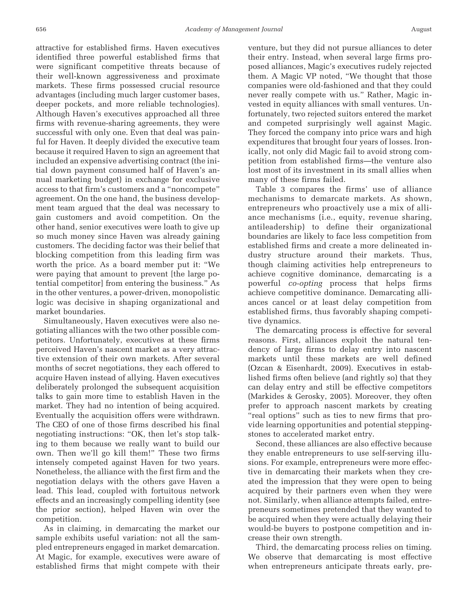attractive for established firms. Haven executives identified three powerful established firms that were significant competitive threats because of their well-known aggressiveness and proximate markets. These firms possessed crucial resource advantages (including much larger customer bases, deeper pockets, and more reliable technologies). Although Haven's executives approached all three firms with revenue-sharing agreements, they were successful with only one. Even that deal was painful for Haven. It deeply divided the executive team because it required Haven to sign an agreement that included an expensive advertising contract (the initial down payment consumed half of Haven's annual marketing budget) in exchange for exclusive access to that firm's customers and a "noncompete" agreement. On the one hand, the business development team argued that the deal was necessary to gain customers and avoid competition. On the other hand, senior executives were loath to give up so much money since Haven was already gaining customers. The deciding factor was their belief that blocking competition from this leading firm was worth the price. As a board member put it: "We were paying that amount to prevent [the large potential competitor] from entering the business." As in the other ventures, a power-driven, monopolistic logic was decisive in shaping organizational and market boundaries.

Simultaneously, Haven executives were also negotiating alliances with the two other possible competitors. Unfortunately, executives at these firms perceived Haven's nascent market as a very attractive extension of their own markets. After several months of secret negotiations, they each offered to acquire Haven instead of allying. Haven executives deliberately prolonged the subsequent acquisition talks to gain more time to establish Haven in the market. They had no intention of being acquired. Eventually the acquisition offers were withdrawn. The CEO of one of those firms described his final negotiating instructions: "OK, then let's stop talking to them because we really want to build our own. Then we'll go kill them!" These two firms intensely competed against Haven for two years. Nonetheless, the alliance with the first firm and the negotiation delays with the others gave Haven a lead. This lead, coupled with fortuitous network effects and an increasingly compelling identity (see the prior section), helped Haven win over the competition.

As in claiming, in demarcating the market our sample exhibits useful variation: not all the sampled entrepreneurs engaged in market demarcation. At Magic, for example, executives were aware of established firms that might compete with their

venture, but they did not pursue alliances to deter their entry. Instead, when several large firms proposed alliances, Magic's executives rudely rejected them. A Magic VP noted, "We thought that those companies were old-fashioned and that they could never really compete with us." Rather, Magic invested in equity alliances with small ventures. Unfortunately, two rejected suitors entered the market and competed surprisingly well against Magic. They forced the company into price wars and high expenditures that brought four years of losses. Ironically, not only did Magic fail to avoid strong competition from established firms—the venture also lost most of its investment in its small allies when many of these firms failed.

Table 3 compares the firms' use of alliance mechanisms to demarcate markets. As shown, entrepreneurs who proactively use a mix of alliance mechanisms (i.e., equity, revenue sharing, antileadership) to define their organizational boundaries are likely to face less competition from established firms and create a more delineated industry structure around their markets. Thus, though claiming activities help entrepreneurs to achieve cognitive dominance, demarcating is a powerful *co-opting* process that helps firms achieve competitive dominance. Demarcating alliances cancel or at least delay competition from established firms, thus favorably shaping competitive dynamics.

The demarcating process is effective for several reasons. First, alliances exploit the natural tendency of large firms to delay entry into nascent markets until these markets are well defined (Ozcan & Eisenhardt, 2009). Executives in established firms often believe (and rightly so) that they can delay entry and still be effective competitors (Markides & Gerosky, 2005). Moreover, they often prefer to approach nascent markets by creating "real options" such as ties to new firms that provide learning opportunities and potential steppingstones to accelerated market entry.

Second, these alliances are also effective because they enable entrepreneurs to use self-serving illusions. For example, entrepreneurs were more effective in demarcating their markets when they created the impression that they were open to being acquired by their partners even when they were not. Similarly, when alliance attempts failed, entrepreneurs sometimes pretended that they wanted to be acquired when they were actually delaying their would-be buyers to postpone competition and increase their own strength.

Third, the demarcating process relies on timing. We observe that demarcating is most effective when entrepreneurs anticipate threats early, pre-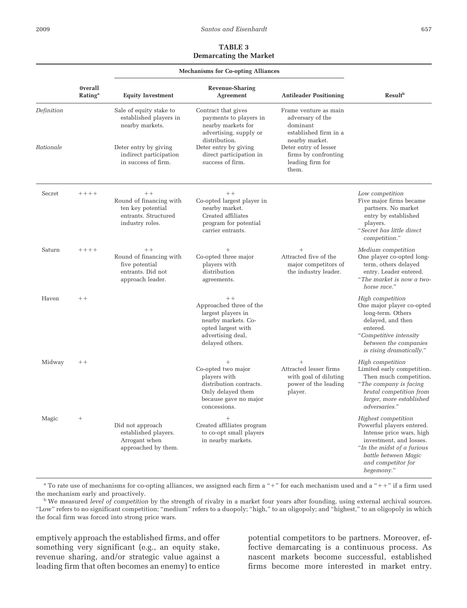# **TABLE 3 Demarcating the Market**

|            |                                              | <b>Mechanisms for Co-opting Alliances</b>                                                       |                                                                                                                                            |                                                                                                  |                                                                                                                                                                                                   |
|------------|----------------------------------------------|-------------------------------------------------------------------------------------------------|--------------------------------------------------------------------------------------------------------------------------------------------|--------------------------------------------------------------------------------------------------|---------------------------------------------------------------------------------------------------------------------------------------------------------------------------------------------------|
|            | <b>Overall</b><br><b>Rating</b> <sup>a</sup> | <b>Equity Investment</b>                                                                        | <b>Revenue-Sharing</b><br>Agreement                                                                                                        | <b>Antileader Positioning</b>                                                                    | <b>Result</b> <sup>b</sup>                                                                                                                                                                        |
| Definition |                                              | Sale of equity stake to<br>established players in<br>nearby markets.                            | Contract that gives<br>payments to players in<br>nearby markets for<br>advertising, supply or<br>distribution.                             | Frame venture as main<br>adversary of the<br>dominant<br>established firm in a<br>nearby market. |                                                                                                                                                                                                   |
| Rationale  |                                              | Deter entry by giving<br>indirect participation<br>in success of firm.                          | Deter entry by giving<br>direct participation in<br>success of firm.                                                                       | Deter entry of lesser<br>firms by confronting<br>leading firm for<br>them.                       |                                                                                                                                                                                                   |
| Secret     | $+++++$                                      | $++$<br>Round of financing with<br>ten key potential<br>entrants. Structured<br>industry roles. | $+ +$<br>Co-opted largest player in<br>nearby market.<br>Created affiliates<br>program for potential<br>carrier entrants.                  |                                                                                                  | Low competition<br>Five major firms became<br>partners. No market<br>entry by established<br>players.<br>"Secret has little direct<br>competition."                                               |
| Saturn     | $+++++$                                      | $++$<br>Round of financing with<br>five potential<br>entrants. Did not<br>approach leader.      | Co-opted three major<br>players with<br>distribution<br>agreements.                                                                        | $^{+}$<br>Attracted five of the<br>major competitors of<br>the industry leader.                  | Medium competition<br>One player co-opted long-<br>term, others delayed<br>entry. Leader entered.<br>"The market is now a two-<br>horse race."                                                    |
| Haven      | $++$                                         |                                                                                                 | $++$<br>Approached three of the<br>largest players in<br>nearby markets. Co-<br>opted largest with<br>advertising deal,<br>delayed others. |                                                                                                  | High competition<br>One major player co-opted<br>long-term. Others<br>delayed, and then<br>entered.<br>"Competitive intensity<br>between the companies<br>is rising dramatically."                |
| Midway     | $++$                                         |                                                                                                 | $^{+}$<br>Co-opted two major<br>players with<br>distribution contracts.<br>Only delayed them<br>because gave no major<br>concessions.      | $\ddot{}$<br>Attracted lesser firms<br>with goal of diluting<br>power of the leading<br>player.  | High competition<br>Limited early competition.<br>Then much competition.<br>"The company is facing"<br>brutal competition from<br>larger, more established<br>adversaries."                       |
| Magic      | $^{+}$                                       | Did not approach<br>established players.<br>Arrogant when<br>approached by them.                | $^{+}$<br>Created affiliates program<br>to co-opt small players<br>in nearby markets.                                                      |                                                                                                  | Highest competition<br>Powerful players entered.<br>Intense price wars, high<br>investment, and losses.<br>"In the midst of a furious<br>battle between Magic<br>and competitor for<br>hegemony." |

<sup>a</sup> To rate use of mechanisms for co-opting alliances, we assigned each firm a "+" for each mechanism used and a "++" if a firm used the mechanism early and proactively.

<sup>b</sup> We measured *level of competition* by the strength of rivalry in a market four years after founding, using external archival sources. "Low" refers to no significant competition; "medium" refers to a duopoly; "high," to an oligopoly; and "highest," to an oligopoly in which the focal firm was forced into strong price wars.

emptively approach the established firms, and offer something very significant (e.g., an equity stake, revenue sharing, and/or strategic value against a leading firm that often becomes an enemy) to entice

potential competitors to be partners. Moreover, effective demarcating is a continuous process. As nascent markets become successful, established firms become more interested in market entry.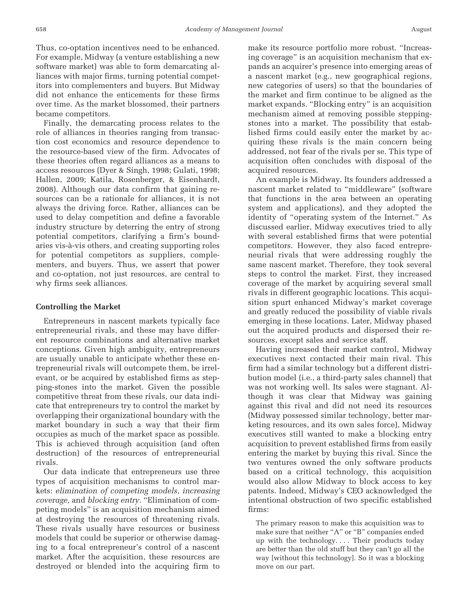Thus, co-optation incentives need to be enhanced. For example, Midway (a venture establishing a new software market) was able to form demarcating alliances with major firms, turning potential competitors into complementers and buyers. But Midway did not enhance the enticements for these firms over time. As the market blossomed, their partners became competitors.

Finally, the demarcating process relates to the role of alliances in theories ranging from transaction cost economics and resource dependence to the resource-based view of the firm. Advocates of these theories often regard alliances as a means to access resources (Dyer & Singh, 1998; Gulati, 1998; Hallen, 2009; Katila, Rosenberger, & Eisenhardt, 2008). Although our data confirm that gaining resources can be a rationale for alliances, it is not always the driving force. Rather, alliances can be used to delay competition and define a favorable industry structure by deterring the entry of strong potential competitors, clarifying a firm's boundaries vis-à-vis others, and creating supporting roles for potential competitors as suppliers, complementers, and buyers. Thus, we assert that power and co-optation, not just resources, are central to why firms seek alliances.

#### **Controlling the Market**

Entrepreneurs in nascent markets typically face entrepreneurial rivals, and these may have different resource combinations and alternative market conceptions. Given high ambiguity, entrepreneurs are usually unable to anticipate whether these entrepreneurial rivals will outcompete them, be irrelevant, or be acquired by established firms as stepping-stones into the market. Given the possible competitive threat from these rivals, our data indicate that entrepreneurs try to control the market by overlapping their organizational boundary with the market boundary in such a way that their firm occupies as much of the market space as possible. This is achieved through acquisition (and often destruction) of the resources of entrepreneurial rivals.

Our data indicate that entrepreneurs use three types of acquisition mechanisms to control markets: *elimination of competing models, increasing coverage,* and *blocking entry.* "Elimination of competing models" is an acquisition mechanism aimed at destroying the resources of threatening rivals. These rivals usually have resources or business models that could be superior or otherwise damaging to a focal entrepreneur's control of a nascent market. After the acquisition, these resources are destroyed or blended into the acquiring firm to

make its resource portfolio more robust. "Increasing coverage" is an acquisition mechanism that expands an acquirer's presence into emerging areas of a nascent market (e.g., new geographical regions, new categories of users) so that the boundaries of the market and firm continue to be aligned as the market expands. "Blocking entry" is an acquisition mechanism aimed at removing possible steppingstones into a market. The possibility that established firms could easily enter the market by acquiring these rivals is the main concern being addressed, not fear of the rivals per se. This type of acquisition often concludes with disposal of the acquired resources.

An example is Midway. Its founders addressed a nascent market related to "middleware" (software that functions in the area between an operating system and applications), and they adopted the identity of "operating system of the Internet." As discussed earlier, Midway executives tried to ally with several established firms that were potential competitors. However, they also faced entrepreneurial rivals that were addressing roughly the same nascent market. Therefore, they took several steps to control the market. First, they increased coverage of the market by acquiring several small rivals in different geographic locations. This acquisition spurt enhanced Midway's market coverage and greatly reduced the possibility of viable rivals emerging in these locations. Later, Midway phased out the acquired products and dispersed their resources, except sales and service staff.

Having increased their market control, Midway executives next contacted their main rival. This firm had a similar technology but a different distribution model (i.e., a third-party sales channel) that was not working well. Its sales were stagnant. Although it was clear that Midway was gaining against this rival and did not need its resources (Midway possessed similar technology, better marketing resources, and its own sales force), Midway executives still wanted to make a blocking entry acquisition to prevent established firms from easily entering the market by buying this rival. Since the two ventures owned the only software products based on a critical technology, this acquisition would also allow Midway to block access to key patents. Indeed, Midway's CEO acknowledged the intentional obstruction of two specific established firms:

The primary reason to make this acquisition was to make sure that neither "A" or "B" companies ended up with the technology.... Their products today are better than the old stuff but they can't go all the way [without this technology]. So it was a blocking move on our part.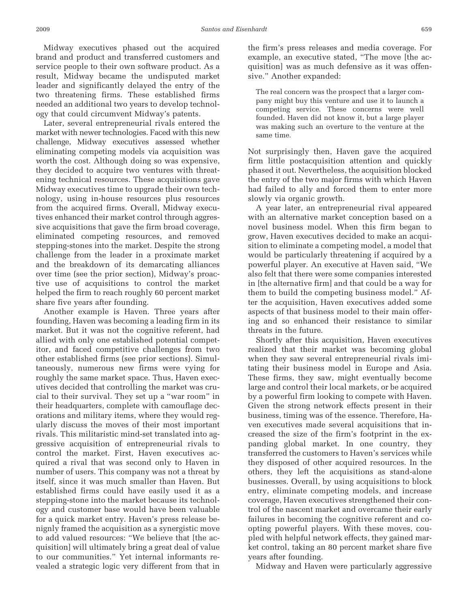Midway executives phased out the acquired brand and product and transferred customers and service people to their own software product. As a result, Midway became the undisputed market leader and significantly delayed the entry of the two threatening firms. These established firms needed an additional two years to develop technology that could circumvent Midway's patents.

Later, several entrepreneurial rivals entered the market with newer technologies. Faced with this new challenge, Midway executives assessed whether eliminating competing models via acquisition was worth the cost. Although doing so was expensive, they decided to acquire two ventures with threatening technical resources. These acquisitions gave Midway executives time to upgrade their own technology, using in-house resources plus resources from the acquired firms. Overall, Midway executives enhanced their market control through aggressive acquisitions that gave the firm broad coverage, eliminated competing resources, and removed stepping-stones into the market. Despite the strong challenge from the leader in a proximate market and the breakdown of its demarcating alliances over time (see the prior section), Midway's proactive use of acquisitions to control the market helped the firm to reach roughly 60 percent market share five years after founding.

Another example is Haven. Three years after founding, Haven was becoming a leading firm in its market. But it was not the cognitive referent, had allied with only one established potential competitor, and faced competitive challenges from two other established firms (see prior sections). Simultaneously, numerous new firms were vying for roughly the same market space. Thus, Haven executives decided that controlling the market was crucial to their survival. They set up a "war room" in their headquarters, complete with camouflage decorations and military items, where they would regularly discuss the moves of their most important rivals. This militaristic mind-set translated into aggressive acquisition of entrepreneurial rivals to control the market. First, Haven executives acquired a rival that was second only to Haven in number of users. This company was not a threat by itself, since it was much smaller than Haven. But established firms could have easily used it as a stepping-stone into the market because its technology and customer base would have been valuable for a quick market entry. Haven's press release benignly framed the acquisition as a synergistic move to add valued resources: "We believe that [the acquisition] will ultimately bring a great deal of value to our communities." Yet internal informants revealed a strategic logic very different from that in

the firm's press releases and media coverage. For example, an executive stated, "The move [the acquisition] was as much defensive as it was offensive." Another expanded:

The real concern was the prospect that a larger company might buy this venture and use it to launch a competing service. These concerns were well founded. Haven did not know it, but a large player was making such an overture to the venture at the same time.

Not surprisingly then, Haven gave the acquired firm little postacquisition attention and quickly phased it out. Nevertheless, the acquisition blocked the entry of the two major firms with which Haven had failed to ally and forced them to enter more slowly via organic growth.

A year later, an entrepreneurial rival appeared with an alternative market conception based on a novel business model. When this firm began to grow, Haven executives decided to make an acquisition to eliminate a competing model, a model that would be particularly threatening if acquired by a powerful player. An executive at Haven said, "We also felt that there were some companies interested in [the alternative firm] and that could be a way for them to build the competing business model." After the acquisition, Haven executives added some aspects of that business model to their main offering and so enhanced their resistance to similar threats in the future.

Shortly after this acquisition, Haven executives realized that their market was becoming global when they saw several entrepreneurial rivals imitating their business model in Europe and Asia. These firms, they saw, might eventually become large and control their local markets, or be acquired by a powerful firm looking to compete with Haven. Given the strong network effects present in their business, timing was of the essence. Therefore, Haven executives made several acquisitions that increased the size of the firm's footprint in the expanding global market. In one country, they transferred the customers to Haven's services while they disposed of other acquired resources. In the others, they left the acquisitions as stand-alone businesses. Overall, by using acquisitions to block entry, eliminate competing models, and increase coverage, Haven executives strengthened their control of the nascent market and overcame their early failures in becoming the cognitive referent and coopting powerful players. With these moves, coupled with helpful network effects, they gained market control, taking an 80 percent market share five years after founding.

Midway and Haven were particularly aggressive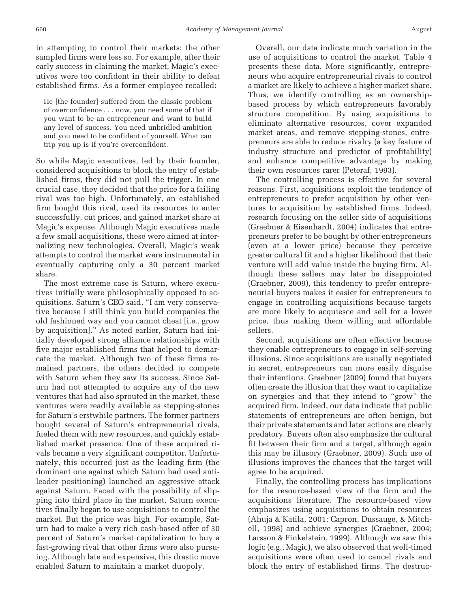in attempting to control their markets; the other sampled firms were less so. For example, after their early success in claiming the market, Magic's executives were too confident in their ability to defeat established firms. As a former employee recalled:

He [the founder] suffered from the classic problem of overconfidence . . . now, you need some of that if you want to be an entrepreneur and want to build any level of success. You need unbridled ambition and you need to be confident of yourself. What can trip you up is if you're overconfident.

So while Magic executives, led by their founder, considered acquisitions to block the entry of established firms, they did not pull the trigger. In one crucial case, they decided that the price for a failing rival was too high. Unfortunately, an established firm bought this rival, used its resources to enter successfully, cut prices, and gained market share at Magic's expense. Although Magic executives made a few small acquisitions, these were aimed at internalizing new technologies. Overall, Magic's weak attempts to control the market were instrumental in eventually capturing only a 30 percent market share.

The most extreme case is Saturn, where executives initially were philosophically opposed to acquisitions. Saturn's CEO said, "I am very conservative because I still think you build companies the old fashioned way and you cannot cheat [i.e., grow by acquisition]." As noted earlier, Saturn had initially developed strong alliance relationships with five major established firms that helped to demarcate the market. Although two of these firms remained partners, the others decided to compete with Saturn when they saw its success. Since Saturn had not attempted to acquire any of the new ventures that had also sprouted in the market, these ventures were readily available as stepping-stones for Saturn's erstwhile partners. The former partners bought several of Saturn's entrepreneurial rivals, fueled them with new resources, and quickly established market presence. One of these acquired rivals became a very significant competitor. Unfortunately, this occurred just as the leading firm (the dominant one against which Saturn had used antileader positioning) launched an aggressive attack against Saturn. Faced with the possibility of slipping into third place in the market, Saturn executives finally began to use acquisitions to control the market. But the price was high. For example, Saturn had to make a very rich cash-based offer of 30 percent of Saturn's market capitalization to buy a fast-growing rival that other firms were also pursuing. Although late and expensive, this drastic move enabled Saturn to maintain a market duopoly.

Overall, our data indicate much variation in the use of acquisitions to control the market. Table 4 presents these data. More significantly, entrepreneurs who acquire entrepreneurial rivals to control a market are likely to achieve a higher market share. Thus, we identify controlling as an ownershipbased process by which entrepreneurs favorably structure competition. By using acquisitions to eliminate alternative resources, cover expanded market areas, and remove stepping-stones, entrepreneurs are able to reduce rivalry (a key feature of industry structure and predictor of profitability) and enhance competitive advantage by making their own resources rarer (Peteraf, 1993).

The controlling process is effective for several reasons. First, acquisitions exploit the tendency of entrepreneurs to prefer acquisition by other ventures to acquisition by established firms. Indeed, research focusing on the seller side of acquisitions (Graebner & Eisenhardt, 2004) indicates that entrepreneurs prefer to be bought by other entrepreneurs (even at a lower price) because they perceive greater cultural fit and a higher likelihood that their venture will add value inside the buying firm. Although these sellers may later be disappointed (Graebner, 2009), this tendency to prefer entrepreneurial buyers makes it easier for entrepreneurs to engage in controlling acquisitions because targets are more likely to acquiesce and sell for a lower price, thus making them willing and affordable sellers.

Second, acquisitions are often effective because they enable entrepreneurs to engage in self-serving illusions. Since acquisitions are usually negotiated in secret, entrepreneurs can more easily disguise their intentions. Graebner (2009) found that buyers often create the illusion that they want to capitalize on synergies and that they intend to "grow" the acquired firm. Indeed, our data indicate that public statements of entrepreneurs are often benign, but their private statements and later actions are clearly predatory. Buyers often also emphasize the cultural fit between their firm and a target, although again this may be illusory (Graebner, 2009). Such use of illusions improves the chances that the target will agree to be acquired.

Finally, the controlling process has implications for the resource-based view of the firm and the acquisitions literature. The resource-based view emphasizes using acquisitions to obtain resources (Ahuja & Katila, 2001; Capron, Dussauge, & Mitchell, 1998) and achieve synergies (Graebner, 2004; Larsson & Finkelstein, 1999). Although we saw this logic (e.g., Magic), we also observed that well-timed acquisitions were often used to cancel rivals and block the entry of established firms. The destruc-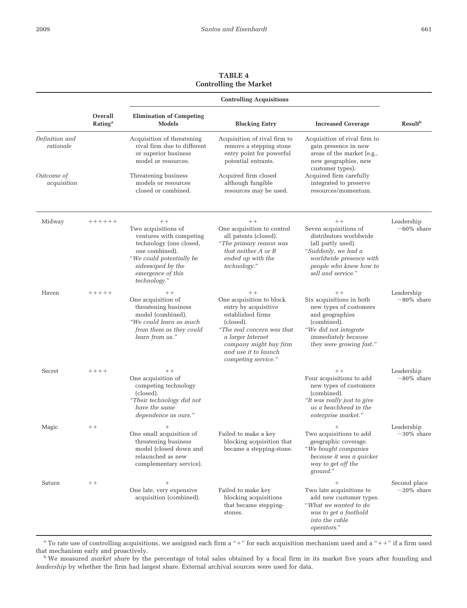**TABLE 4 Controlling the Market**

|                             |                                       | <b>Controlling Acquisitions</b>                                                                                                                                                           |                                                                                                                                                                                                                         |                                                                                                                                                                                 |                                  |
|-----------------------------|---------------------------------------|-------------------------------------------------------------------------------------------------------------------------------------------------------------------------------------------|-------------------------------------------------------------------------------------------------------------------------------------------------------------------------------------------------------------------------|---------------------------------------------------------------------------------------------------------------------------------------------------------------------------------|----------------------------------|
|                             | Overall<br><b>Rating</b> <sup>a</sup> | <b>Elimination of Competing</b><br>Models                                                                                                                                                 | <b>Blocking Entry</b>                                                                                                                                                                                                   | <b>Increased Coverage</b>                                                                                                                                                       | <b>Result</b> <sup>b</sup>       |
| Definition and<br>rationale |                                       | Acquisition of threatening<br>rival firm due to different<br>or superior business<br>model or resources.                                                                                  | Acquisition of rival firm to<br>remove a stepping stone<br>entry point for powerful<br>potential entrants.                                                                                                              | Acquisition of rival firm to<br>gain presence in new<br>areas of the market (e.g.,<br>new geographies, new<br>customer types).                                                  |                                  |
| Outcome of<br>acquisition   |                                       | Threatening business<br>models or resources<br>closed or combined.                                                                                                                        | Acquired firm closed<br>although fungible<br>resources may be used.                                                                                                                                                     | Acquired firm carefully<br>integrated to preserve<br>resources/momentum.                                                                                                        |                                  |
| Midway                      | $+++++$                               | $++$<br>Two acquisitions of<br>ventures with competing<br>technology (one closed,<br>one combined).<br>"We could potentially be<br>sideswiped by the<br>emergence of this<br>technology." | $++$<br>One acquisition to control<br>all patents (closed).<br>"The primary reason was<br>that neither A or B<br>ended up with the<br>technology."                                                                      | $++$<br>Seven acquisitions of<br>distributors worldwide<br>(all partly used).<br>"Suddenly, we had a<br>worldwide presence with<br>people who knew how to<br>sell and service." | Leadership<br>$~10\%$ share      |
| Haven                       | $+++++$                               | $++$<br>One acquisition of<br>threatening business<br>model (combined).<br>"We could learn as much<br>from them as they could<br>learn from us."                                          | $+ +$<br>One acquisition to block<br>entry by acquisitive<br>established firms<br>(closed).<br>"The real concern was that<br>a larger Internet<br>company might buy firm<br>and use it to launch<br>competing service." | $++$<br>Six acquisitions in both<br>new types of customers<br>and geographies<br>(combined).<br>"We did not integrate<br><i>immediately because</i><br>they were growing fast." | Leadership<br>$\sim$ 80% share   |
| Secret                      | $+++++$                               | $++$<br>One acquisition of<br>competing technology<br>(closed).<br>"Their technology did not<br>have the same<br>dependence as ours."                                                     |                                                                                                                                                                                                                         | $++$<br>Four acquisitions to add<br>new types of customers<br>(combined).<br>"It was really just to give<br>us a beachhead in the<br>enterprise market."                        | Leadership<br>$\sim$ 80% share   |
| Magic                       | $++$                                  | One small acquisition of<br>threatening business<br>model (closed down and<br>relaunched as new<br>complementary service).                                                                | Failed to make a key<br>blocking acquisition that<br>became a stepping-stone.                                                                                                                                           | Two acquisitions to add<br>geographic coverage.<br>"We bought companies<br>because it was a quicker<br>way to get off the<br>ground."                                           | Leadership<br>$\sim$ 30% share   |
| Saturn                      | $++$                                  | One late, very expensive<br>acquisition (combined).                                                                                                                                       | Failed to make key<br>blocking acquisitions<br>that became stepping-<br>stones.                                                                                                                                         | Two late acquisitions to<br>add new customer types.<br>"What we wanted to do<br>was to get a foothold<br>into the cable<br>operators."                                          | Second place<br>$\sim$ 20% share |

 $^a$  To rate use of controlling acquisitions, we assigned each firm a "+" for each acquisition mechanism used and a "++" if a firm used that mechanism early and proactively.

<sup>b</sup> We measured *market share* by the percentage of total sales obtained by a focal firm in its market five years after founding and *leadership* by whether the firm had largest share. External archival sources were used for data.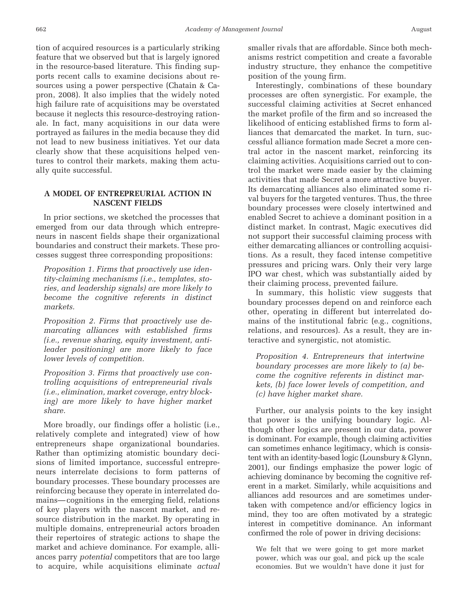tion of acquired resources is a particularly striking feature that we observed but that is largely ignored in the resource-based literature. This finding supports recent calls to examine decisions about resources using a power perspective (Chatain & Capron, 2008). It also implies that the widely noted high failure rate of acquisitions may be overstated because it neglects this resource-destroying rationale. In fact, many acquisitions in our data were portrayed as failures in the media because they did not lead to new business initiatives. Yet our data clearly show that these acquisitions helped ventures to control their markets, making them actually quite successful.

# **A MODEL OF ENTREPREURIAL ACTION IN NASCENT FIELDS**

In prior sections, we sketched the processes that emerged from our data through which entrepreneurs in nascent fields shape their organizational boundaries and construct their markets. These processes suggest three corresponding propositions:

*Proposition 1. Firms that proactively use identity-claiming mechanisms (i.e., templates, stories, and leadership signals) are more likely to become the cognitive referents in distinct markets.*

*Proposition 2. Firms that proactively use demarcating alliances with established firms (i.e., revenue sharing, equity investment, antileader positioning) are more likely to face lower levels of competition.*

*Proposition 3. Firms that proactively use controlling acquisitions of entrepreneurial rivals (i.e., elimination, market coverage, entry blocking) are more likely to have higher market share.*

More broadly, our findings offer a holistic (i.e., relatively complete and integrated) view of how entrepreneurs shape organizational boundaries. Rather than optimizing atomistic boundary decisions of limited importance, successful entrepreneurs interrelate decisions to form patterns of boundary processes. These boundary processes are reinforcing because they operate in interrelated domains— cognitions in the emerging field, relations of key players with the nascent market, and resource distribution in the market. By operating in multiple domains, entrepreneurial actors broaden their repertoires of strategic actions to shape the market and achieve dominance. For example, alliances parry *potential* competitors that are too large to acquire, while acquisitions eliminate *actual* smaller rivals that are affordable. Since both mechanisms restrict competition and create a favorable industry structure, they enhance the competitive position of the young firm.

Interestingly, combinations of these boundary processes are often synergistic. For example, the successful claiming activities at Secret enhanced the market profile of the firm and so increased the likelihood of enticing established firms to form alliances that demarcated the market. In turn, successful alliance formation made Secret a more central actor in the nascent market, reinforcing its claiming activities. Acquisitions carried out to control the market were made easier by the claiming activities that made Secret a more attractive buyer. Its demarcating alliances also eliminated some rival buyers for the targeted ventures. Thus, the three boundary processes were closely intertwined and enabled Secret to achieve a dominant position in a distinct market. In contrast, Magic executives did not support their successful claiming process with either demarcating alliances or controlling acquisitions. As a result, they faced intense competitive pressures and pricing wars. Only their very large IPO war chest, which was substantially aided by their claiming process, prevented failure.

In summary, this holistic view suggests that boundary processes depend on and reinforce each other, operating in different but interrelated domains of the institutional fabric (e.g., cognitions, relations, and resources). As a result, they are interactive and synergistic, not atomistic.

*Proposition 4. Entrepreneurs that intertwine boundary processes are more likely to (a) become the cognitive referents in distinct markets, (b) face lower levels of competition, and (c) have higher market share.*

Further, our analysis points to the key insight that power is the unifying boundary logic. Although other logics are present in our data, power is dominant. For example, though claiming activities can sometimes enhance legitimacy, which is consistent with an identity-based logic (Lounsbury & Glynn, 2001), our findings emphasize the power logic of achieving dominance by becoming the cognitive referent in a market. Similarly, while acquisitions and alliances add resources and are sometimes undertaken with competence and/or efficiency logics in mind, they too are often motivated by a strategic interest in competitive dominance. An informant confirmed the role of power in driving decisions:

We felt that we were going to get more market power, which was our goal, and pick up the scale economies. But we wouldn't have done it just for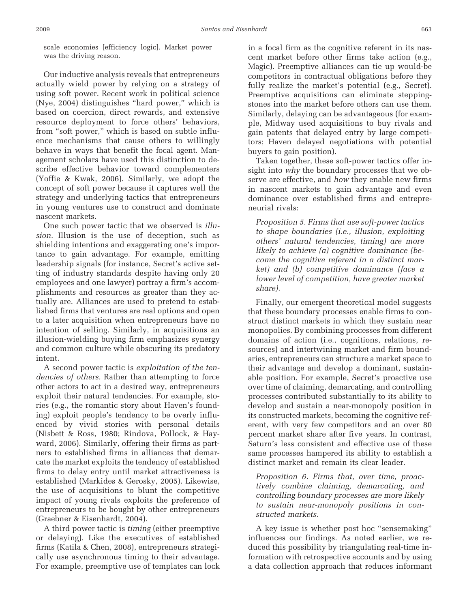scale economies [efficiency logic]. Market power was the driving reason.

Our inductive analysis reveals that entrepreneurs actually wield power by relying on a strategy of using soft power. Recent work in political science (Nye, 2004) distinguishes "hard power," which is based on coercion, direct rewards, and extensive resource deployment to force others' behaviors, from "soft power," which is based on subtle influence mechanisms that cause others to willingly behave in ways that benefit the focal agent. Management scholars have used this distinction to describe effective behavior toward complementers (Yoffie & Kwak, 2006). Similarly, we adopt the concept of soft power because it captures well the strategy and underlying tactics that entrepreneurs in young ventures use to construct and dominate nascent markets.

One such power tactic that we observed is *illusion.* Illusion is the use of deception, such as shielding intentions and exaggerating one's importance to gain advantage. For example, emitting leadership signals (for instance, Secret's active setting of industry standards despite having only 20 employees and one lawyer) portray a firm's accomplishments and resources as greater than they actually are. Alliances are used to pretend to established firms that ventures are real options and open to a later acquisition when entrepreneurs have no intention of selling. Similarly, in acquisitions an illusion-wielding buying firm emphasizes synergy and common culture while obscuring its predatory intent.

A second power tactic is *exploitation of the tendencies of others.* Rather than attempting to force other actors to act in a desired way, entrepreneurs exploit their natural tendencies. For example, stories (e.g., the romantic story about Haven's founding) exploit people's tendency to be overly influenced by vivid stories with personal details (Nisbett & Ross, 1980; Rindova, Pollock, & Hayward, 2006). Similarly, offering their firms as partners to established firms in alliances that demarcate the market exploits the tendency of established firms to delay entry until market attractiveness is established (Markides & Gerosky, 2005). Likewise, the use of acquisitions to blunt the competitive impact of young rivals exploits the preference of entrepreneurs to be bought by other entrepreneurs (Graebner & Eisenhardt, 2004).

A third power tactic is *timing* (either preemptive or delaying). Like the executives of established firms (Katila & Chen, 2008), entrepreneurs strategically use asynchronous timing to their advantage. For example, preemptive use of templates can lock

in a focal firm as the cognitive referent in its nascent market before other firms take action (e.g., Magic). Preemptive alliances can tie up would-be competitors in contractual obligations before they fully realize the market's potential (e.g., Secret). Preemptive acquisitions can eliminate steppingstones into the market before others can use them. Similarly, delaying can be advantageous (for example, Midway used acquisitions to buy rivals and gain patents that delayed entry by large competitors; Haven delayed negotiations with potential buyers to gain position).

Taken together, these soft-power tactics offer insight into *why* the boundary processes that we observe are effective, and *how* they enable new firms in nascent markets to gain advantage and even dominance over established firms and entrepreneurial rivals:

*Proposition 5. Firms that use soft-power tactics to shape boundaries (i.e., illusion, exploiting others' natural tendencies, timing) are more likely to achieve (a) cognitive dominance (become the cognitive referent in a distinct market) and (b) competitive dominance (face a lower level of competition, have greater market share).*

Finally, our emergent theoretical model suggests that these boundary processes enable firms to construct distinct markets in which they sustain near monopolies. By combining processes from different domains of action (i.e., cognitions, relations, resources) and intertwining market and firm boundaries, entrepreneurs can structure a market space to their advantage and develop a dominant, sustainable position. For example, Secret's proactive use over time of claiming, demarcating, and controlling processes contributed substantially to its ability to develop and sustain a near-monopoly position in its constructed markets, becoming the cognitive referent, with very few competitors and an over 80 percent market share after five years. In contrast, Saturn's less consistent and effective use of these same processes hampered its ability to establish a distinct market and remain its clear leader.

*Proposition 6. Firms that, over time, proactively combine claiming, demarcating, and controlling boundary processes are more likely to sustain near-monopoly positions in constructed markets.*

A key issue is whether post hoc "sensemaking" influences our findings. As noted earlier, we reduced this possibility by triangulating real-time information with retrospective accounts and by using a data collection approach that reduces informant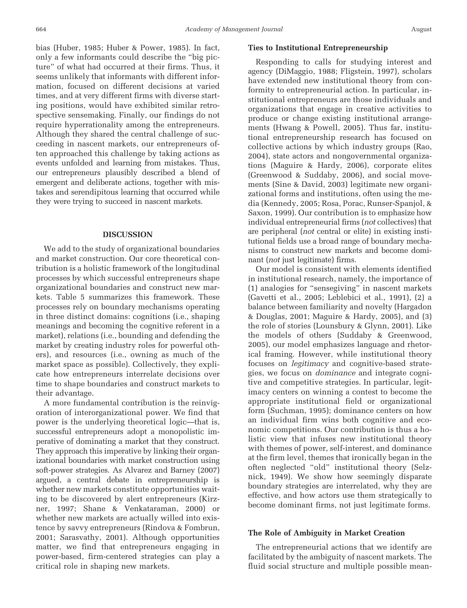bias (Huber, 1985; Huber & Power, 1985). In fact, only a few informants could describe the "big picture" of what had occurred at their firms. Thus, it seems unlikely that informants with different information, focused on different decisions at varied times, and at very different firms with diverse starting positions, would have exhibited similar retrospective sensemaking. Finally, our findings do not require hyperrationality among the entrepreneurs. Although they shared the central challenge of succeeding in nascent markets, our entrepreneurs often approached this challenge by taking actions as events unfolded and learning from mistakes. Thus, our entrepreneurs plausibly described a blend of emergent and deliberate actions, together with mistakes and serendipitous learning that occurred while they were trying to succeed in nascent markets.

#### **DISCUSSION**

We add to the study of organizational boundaries and market construction. Our core theoretical contribution is a holistic framework of the longitudinal processes by which successful entrepreneurs shape organizational boundaries and construct new markets. Table 5 summarizes this framework. These processes rely on boundary mechanisms operating in three distinct domains: cognitions (i.e., shaping meanings and becoming the cognitive referent in a market), relations (i.e., bounding and defending the market by creating industry roles for powerful others), and resources (i.e., owning as much of the market space as possible). Collectively, they explicate how entrepreneurs interrelate decisions over time to shape boundaries and construct markets to their advantage.

A more fundamental contribution is the reinvigoration of interorganizational power. We find that power is the underlying theoretical logic—that is, successful entrepreneurs adopt a monopolistic imperative of dominating a market that they construct. They approach this imperative by linking their organizational boundaries with market construction using soft-power strategies. As Alvarez and Barney (2007) argued, a central debate in entrepreneurship is whether new markets constitute opportunities waiting to be discovered by alert entrepreneurs (Kirzner, 1997; Shane & Venkataraman, 2000) or whether new markets are actually willed into existence by savvy entrepreneurs (Rindova & Fombrun, 2001; Sarasvathy, 2001). Although opportunities matter, we find that entrepreneurs engaging in power-based, firm-centered strategies can play a critical role in shaping new markets.

### **Ties to Institutional Entrepreneurship**

Responding to calls for studying interest and agency (DiMaggio, 1988; Fligstein, 1997), scholars have extended new institutional theory from conformity to entrepreneurial action. In particular, institutional entrepreneurs are those individuals and organizations that engage in creative activities to produce or change existing institutional arrangements (Hwang & Powell, 2005). Thus far, institutional entrepreneurship research has focused on collective actions by which industry groups (Rao, 2004), state actors and nongovernmental organizations (Maguire & Hardy, 2006), corporate elites (Greenwood & Suddaby, 2006), and social movements (Sine & David, 2003) legitimate new organizational forms and institutions, often using the media (Kennedy, 2005; Rosa, Porac, Runser-Spanjol, & Saxon, 1999). Our contribution is to emphasize how individual entrepreneurial firms (*not* collectives) that are peripheral (*not* central or elite) in existing institutional fields use a broad range of boundary mechanisms to construct new markets and become dominant (*not* just legitimate) firms.

Our model is consistent with elements identified in institutional research, namely, the importance of (1) analogies for "sensegiving" in nascent markets (Gavetti et al., 2005; Leblebici et al., 1991), (2) a balance between familiarity and novelty (Hargadon & Douglas, 2001; Maguire & Hardy, 2005), and (3) the role of stories (Lounsbury & Glynn, 2001). Like the models of others (Suddaby & Greenwood, 2005), our model emphasizes language and rhetorical framing. However, while institutional theory focuses on *legitimacy* and cognitive-based strategies, we focus on *dominance* and integrate cognitive and competitive strategies. In particular, legitimacy centers on winning a contest to become the appropriate institutional field or organizational form (Suchman, 1995); dominance centers on how an individual firm wins both cognitive and economic competitions. Our contribution is thus a holistic view that infuses new institutional theory with themes of power, self-interest, and dominance at the firm level, themes that ironically began in the often neglected "old" institutional theory (Selznick, 1949). We show how seemingly disparate boundary strategies are interrelated, why they are effective, and how actors use them strategically to become dominant firms, not just legitimate forms.

#### **The Role of Ambiguity in Market Creation**

The entrepreneurial actions that we identify are facilitated by the ambiguity of nascent markets. The fluid social structure and multiple possible mean-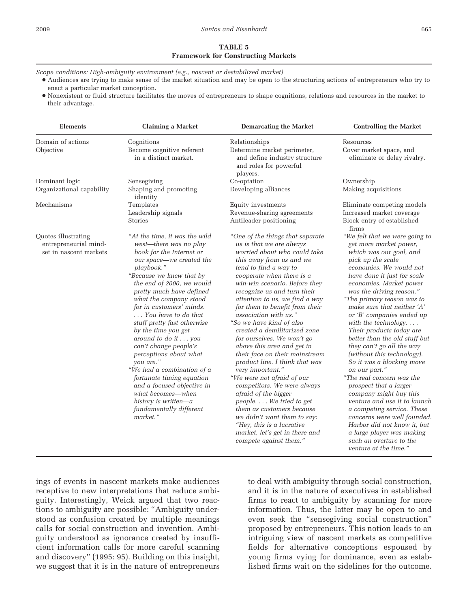# **TABLE 5 Framework for Constructing Markets**

*Scope conditions: High-ambiguity environment (e.g., nascent or destabilized market)*

- Audiences are trying to make sense of the market situation and may be open to the structuring actions of entrepreneurs who try to enact a particular market conception.
- Nonexistent or fluid structure facilitates the moves of entrepreneurs to shape cognitions, relations and resources in the market to their advantage.

| <b>Elements</b>                                                        | <b>Claiming a Market</b>                                                                                                                                                                                                                                                                                                                                                                                                                                                                                                                                                                                                  | <b>Demarcating the Market</b>                                                                                                                                                                                                                                                                                                                                                                                                                                                                                                                                                                                                                                                                                                                                                                                                   | <b>Controlling the Market</b>                                                                                                                                                                                                                                                                                                                                                                                                                                                                                                                                                                                                                                                                                                                                                                                          |
|------------------------------------------------------------------------|---------------------------------------------------------------------------------------------------------------------------------------------------------------------------------------------------------------------------------------------------------------------------------------------------------------------------------------------------------------------------------------------------------------------------------------------------------------------------------------------------------------------------------------------------------------------------------------------------------------------------|---------------------------------------------------------------------------------------------------------------------------------------------------------------------------------------------------------------------------------------------------------------------------------------------------------------------------------------------------------------------------------------------------------------------------------------------------------------------------------------------------------------------------------------------------------------------------------------------------------------------------------------------------------------------------------------------------------------------------------------------------------------------------------------------------------------------------------|------------------------------------------------------------------------------------------------------------------------------------------------------------------------------------------------------------------------------------------------------------------------------------------------------------------------------------------------------------------------------------------------------------------------------------------------------------------------------------------------------------------------------------------------------------------------------------------------------------------------------------------------------------------------------------------------------------------------------------------------------------------------------------------------------------------------|
| Domain of actions<br>Objective                                         | Cognitions<br>Become cognitive referent<br>in a distinct market.                                                                                                                                                                                                                                                                                                                                                                                                                                                                                                                                                          | Relationships<br>Determine market perimeter,<br>and define industry structure<br>and roles for powerful<br>players.                                                                                                                                                                                                                                                                                                                                                                                                                                                                                                                                                                                                                                                                                                             | Resources<br>Cover market space, and<br>eliminate or delay rivalry.                                                                                                                                                                                                                                                                                                                                                                                                                                                                                                                                                                                                                                                                                                                                                    |
| Dominant logic<br>Organizational capability                            | Sensegiving<br>Shaping and promoting<br>identity                                                                                                                                                                                                                                                                                                                                                                                                                                                                                                                                                                          | Co-optation<br>Developing alliances                                                                                                                                                                                                                                                                                                                                                                                                                                                                                                                                                                                                                                                                                                                                                                                             | Ownership<br>Making acquisitions                                                                                                                                                                                                                                                                                                                                                                                                                                                                                                                                                                                                                                                                                                                                                                                       |
| Mechanisms                                                             | Templates<br>Leadership signals<br>Stories                                                                                                                                                                                                                                                                                                                                                                                                                                                                                                                                                                                | Equity investments<br>Revenue-sharing agreements<br>Antileader positioning                                                                                                                                                                                                                                                                                                                                                                                                                                                                                                                                                                                                                                                                                                                                                      | Eliminate competing models<br>Increased market coverage<br>Block entry of established<br>firms                                                                                                                                                                                                                                                                                                                                                                                                                                                                                                                                                                                                                                                                                                                         |
| Quotes illustrating<br>entrepreneurial mind-<br>set in nascent markets | "At the time, it was the wild<br>west-there was no play<br>book for the Internet or<br>our space-we created the<br>playbook."<br>"Because we knew that by<br>the end of 2000, we would<br>pretty much have defined<br>what the company stood<br>for in customers' minds.<br>You have to do that<br>stuff pretty fast otherwise<br>by the time you get<br>around to do it you<br>can't change people's<br>perceptions about what<br>you are."<br>"We had a combination of a<br>fortunate timing equation<br>and a focused objective in<br>what becomes—when<br>history is written-a<br>fundamentally different<br>market." | "One of the things that separate<br>us is that we are always<br>worried about who could take<br>this away from us and we<br>tend to find a way to<br>cooperate when there is a<br>win-win scenario. Before they<br>recognize us and turn their<br>attention to us, we find a way<br>for them to benefit from their<br>association with us."<br>"So we have kind of also<br>created a demilitarized zone<br>for ourselves. We won't go<br>above this area and get in<br>their face on their mainstream<br>product line. I think that was<br>very important."<br>"We were not afraid of our<br>competitors. We were always<br>afraid of the bigger<br>people We tried to get<br>them as customers because<br>we didn't want them to say:<br>"Hey, this is a lucrative<br>market, let's get in there and<br>compete against them." | "We felt that we were going to<br>get more market power,<br>which was our goal, and<br>pick up the scale<br>economies. We would not<br>have done it just for scale<br>economies. Market power<br>was the driving reason."<br>"The primary reason was to<br>make sure that neither 'A'<br>or 'B' companies ended up<br>with the technology. $\dots$<br>Their products today are<br>better than the old stuff but<br>they can't go all the way<br>(without this technology).<br>So it was a blocking move<br>on our part."<br>"The real concern was the<br>prospect that a larger<br>company might buy this<br>venture and use it to launch<br>a competing service. These<br>concerns were well founded.<br>Harbor did not know it, but<br>a large player was making<br>such an overture to the<br>venture at the time." |

ings of events in nascent markets make audiences receptive to new interpretations that reduce ambiguity. Interestingly, Weick argued that two reactions to ambiguity are possible: "Ambiguity understood as confusion created by multiple meanings calls for social construction and invention. Ambiguity understood as ignorance created by insufficient information calls for more careful scanning and discovery" (1995: 95). Building on this insight, we suggest that it is in the nature of entrepreneurs

to deal with ambiguity through social construction, and it is in the nature of executives in established firms to react to ambiguity by scanning for more information. Thus, the latter may be open to and even seek the "sensegiving social construction" proposed by entrepreneurs. This notion leads to an intriguing view of nascent markets as competitive fields for alternative conceptions espoused by young firms vying for dominance, even as established firms wait on the sidelines for the outcome.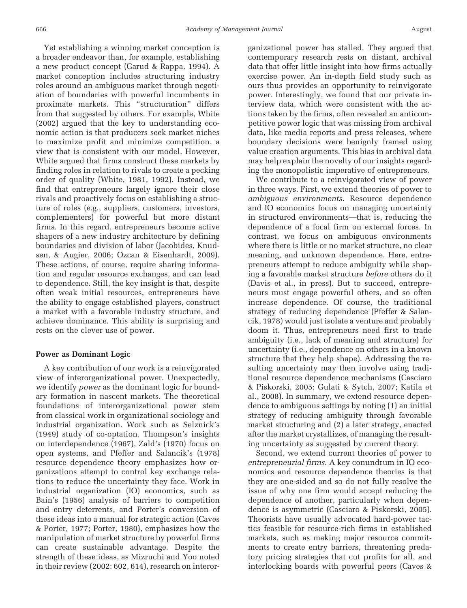Yet establishing a winning market conception is a broader endeavor than, for example, establishing a new product concept (Garud & Rappa, 1994). A market conception includes structuring industry roles around an ambiguous market through negotiation of boundaries with powerful incumbents in proximate markets. This "structuration" differs from that suggested by others. For example, White (2002) argued that the key to understanding economic action is that producers seek market niches to maximize profit and minimize competition, a view that is consistent with our model. However, White argued that firms construct these markets by finding roles in relation to rivals to create a pecking order of quality (White, 1981, 1992). Instead, we find that entrepreneurs largely ignore their close rivals and proactively focus on establishing a structure of roles (e.g., suppliers, customers, investors, complementers) for powerful but more distant firms. In this regard, entrepreneurs become active shapers of a new industry architecture by defining boundaries and division of labor (Jacobides, Knudsen, & Augier, 2006; Ozcan & Eisenhardt, 2009). These actions, of course, require sharing information and regular resource exchanges, and can lead to dependence. Still, the key insight is that, despite often weak initial resources, entrepreneurs have the ability to engage established players, construct a market with a favorable industry structure, and achieve dominance. This ability is surprising and rests on the clever use of power.

# **Power as Dominant Logic**

A key contribution of our work is a reinvigorated view of interorganizational power. Unexpectedly, we identify *power* as the dominant logic for boundary formation in nascent markets. The theoretical foundations of interorganizational power stem from classical work in organizational sociology and industrial organization. Work such as Selznick's (1949) study of co-optation, Thompson's insights on interdependence (1967), Zald's (1970) focus on open systems, and Pfeffer and Salancik's (1978) resource dependence theory emphasizes how organizations attempt to control key exchange relations to reduce the uncertainty they face. Work in industrial organization (IO) economics, such as Bain's (1956) analysis of barriers to competition and entry deterrents, and Porter's conversion of these ideas into a manual for strategic action (Caves & Porter, 1977; Porter, 1980), emphasizes how the manipulation of market structure by powerful firms can create sustainable advantage. Despite the strength of these ideas, as Mizruchi and Yoo noted in their review (2002: 602, 614), research on interorganizational power has stalled. They argued that contemporary research rests on distant, archival data that offer little insight into how firms actually exercise power. An in-depth field study such as ours thus provides an opportunity to reinvigorate power. Interestingly, we found that our private interview data, which were consistent with the actions taken by the firms, often revealed an anticompetitive power logic that was missing from archival data, like media reports and press releases, where boundary decisions were benignly framed using value creation arguments. This bias in archival data may help explain the novelty of our insights regarding the monopolistic imperative of entrepreneurs.

We contribute to a reinvigorated view of power in three ways. First, we extend theories of power to *ambiguous environments*. Resource dependence and IO economics focus on managing uncertainty in structured environments—that is, reducing the dependence of a focal firm on external forces. In contrast, we focus on ambiguous environments where there is little or no market structure, no clear meaning, and unknown dependence. Here, entrepreneurs attempt to reduce ambiguity while shaping a favorable market structure *before* others do it (Davis et al., in press). But to succeed, entrepreneurs must engage powerful others, and so often increase dependence. Of course, the traditional strategy of reducing dependence (Pfeffer & Salancik, 1978) would just isolate a venture and probably doom it. Thus, entrepreneurs need first to trade ambiguity (i.e., lack of meaning and structure) for uncertainty (i.e., dependence on others in a known structure that they help shape). Addressing the resulting uncertainty may then involve using traditional resource dependence mechanisms (Casciaro & Piskorski, 2005; Gulati & Sytch, 2007; Katila et al., 2008). In summary, we extend resource dependence to ambiguous settings by noting (1) an initial strategy of reducing ambiguity through favorable market structuring and (2) a later strategy, enacted after the market crystallizes, of managing the resulting uncertainty as suggested by current theory.

Second, we extend current theories of power to *entrepreneurial firms*. A key conundrum in IO economics and resource dependence theories is that they are one-sided and so do not fully resolve the issue of why one firm would accept reducing the dependence of another, particularly when dependence is asymmetric (Casciaro & Piskorski, 2005). Theorists have usually advocated hard-power tactics feasible for resource-rich firms in established markets, such as making major resource commitments to create entry barriers, threatening predatory pricing strategies that cut profits for all, and interlocking boards with powerful peers (Caves &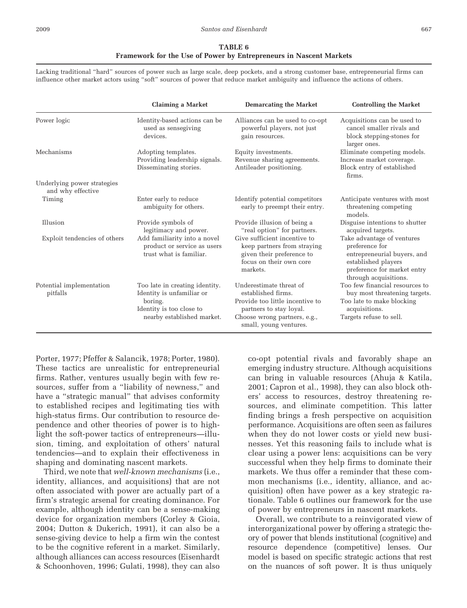#### **Framework for the Use of Power by Entrepreneurs in Nascent Markets**

Lacking traditional "hard" sources of power such as large scale, deep pockets, and a strong customer base, entrepreneurial firms can influence other market actors using "soft" sources of power that reduce market ambiguity and influence the actions of others.

|                                                  | <b>Claiming a Market</b>                                                                                                         | <b>Demarcating the Market</b>                                                                                                                                         | <b>Controlling the Market</b>                                                                                                                              |
|--------------------------------------------------|----------------------------------------------------------------------------------------------------------------------------------|-----------------------------------------------------------------------------------------------------------------------------------------------------------------------|------------------------------------------------------------------------------------------------------------------------------------------------------------|
| Power logic                                      | Identity-based actions can be<br>used as sensegiving<br>devices.                                                                 | Alliances can be used to co-opt<br>powerful players, not just<br>gain resources.                                                                                      | Acquisitions can be used to<br>cancel smaller rivals and<br>block stepping-stones for<br>larger ones.                                                      |
| Mechanisms                                       | Adopting templates.<br>Providing leadership signals.<br>Disseminating stories.                                                   | Equity investments.<br>Revenue sharing agreements.<br>Antileader positioning.                                                                                         | Eliminate competing models.<br>Increase market coverage.<br>Block entry of established<br>firms.                                                           |
| Underlying power strategies<br>and why effective |                                                                                                                                  |                                                                                                                                                                       |                                                                                                                                                            |
| Timing                                           | Enter early to reduce<br>ambiguity for others.                                                                                   | Identify potential competitors<br>early to preempt their entry.                                                                                                       | Anticipate ventures with most<br>threatening competing<br>models.                                                                                          |
| Illusion                                         | Provide symbols of<br>legitimacy and power.                                                                                      | Provide illusion of being a<br>"real option" for partners.                                                                                                            | Disguise intentions to shutter<br>acquired targets.                                                                                                        |
| Exploit tendencies of others                     | Add familiarity into a novel<br>product or service as users<br>trust what is familiar.                                           | Give sufficient incentive to<br>keep partners from straying<br>given their preference to<br>focus on their own core<br>markets.                                       | Take advantage of ventures<br>preference for<br>entrepreneurial buyers, and<br>established players<br>preference for market entry<br>through acquisitions. |
| Potential implementation<br>pitfalls             | Too late in creating identity.<br>Identity is unfamiliar or<br>boring.<br>Identity is too close to<br>nearby established market. | Underestimate threat of<br>established firms.<br>Provide too little incentive to<br>partners to stay loyal.<br>Choose wrong partners, e.g.,<br>small, young ventures. | Too few financial resources to<br>buy most threatening targets.<br>Too late to make blocking<br>acquisitions.<br>Targets refuse to sell.                   |

Porter, 1977; Pfeffer & Salancik, 1978; Porter, 1980). These tactics are unrealistic for entrepreneurial firms. Rather, ventures usually begin with few resources, suffer from a "liability of newness," and have a "strategic manual" that advises conformity to established recipes and legitimating ties with high-status firms. Our contribution to resource dependence and other theories of power is to highlight the soft-power tactics of entrepreneurs—illusion, timing, and exploitation of others' natural tendencies—and to explain their effectiveness in shaping and dominating nascent markets.

Third, we note that *well-known mechanisms* (i.e., identity, alliances, and acquisitions) that are not often associated with power are actually part of a firm's strategic arsenal for creating dominance. For example, although identity can be a sense-making device for organization members (Corley & Gioia, 2004; Dutton & Dukerich, 1991), it can also be a sense-giving device to help a firm win the contest to be the cognitive referent in a market. Similarly, although alliances can access resources (Eisenhardt & Schoonhoven, 1996; Gulati, 1998), they can also

co-opt potential rivals and favorably shape an emerging industry structure. Although acquisitions can bring in valuable resources (Ahuja & Katila, 2001; Capron et al., 1998), they can also block others' access to resources, destroy threatening resources, and eliminate competition. This latter finding brings a fresh perspective on acquisition performance. Acquisitions are often seen as failures when they do not lower costs or yield new businesses. Yet this reasoning fails to include what is clear using a power lens: acquisitions can be very successful when they help firms to dominate their markets. We thus offer a reminder that these common mechanisms (i.e., identity, alliance, and acquisition) often have power as a key strategic rationale. Table 6 outlines our framework for the use of power by entrepreneurs in nascent markets.

Overall, we contribute to a reinvigorated view of interorganizational power by offering a strategic theory of power that blends institutional (cognitive) and resource dependence (competitive) lenses. Our model is based on specific strategic actions that rest on the nuances of soft power. It is thus uniquely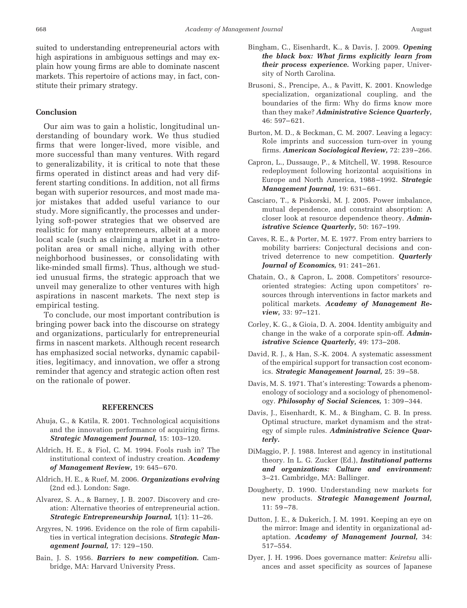suited to understanding entrepreneurial actors with high aspirations in ambiguous settings and may explain how young firms are able to dominate nascent markets. This repertoire of actions may, in fact, constitute their primary strategy.

# **Conclusion**

Our aim was to gain a holistic, longitudinal understanding of boundary work. We thus studied firms that were longer-lived, more visible, and more successful than many ventures. With regard to generalizability, it is critical to note that these firms operated in distinct areas and had very different starting conditions. In addition, not all firms began with superior resources, and most made major mistakes that added useful variance to our study. More significantly, the processes and underlying soft-power strategies that we observed are realistic for many entrepreneurs, albeit at a more local scale (such as claiming a market in a metropolitan area or small niche, allying with other neighborhood businesses, or consolidating with like-minded small firms). Thus, although we studied unusual firms, the strategic approach that we unveil may generalize to other ventures with high aspirations in nascent markets. The next step is empirical testing.

To conclude, our most important contribution is bringing power back into the discourse on strategy and organizations, particularly for entrepreneurial firms in nascent markets. Although recent research has emphasized social networks, dynamic capabilities, legitimacy, and innovation, we offer a strong reminder that agency and strategic action often rest on the rationale of power.

#### **REFERENCES**

- Ahuja, G., & Katila, R. 2001. Technological acquisitions and the innovation performance of acquiring firms. *Strategic Management Journal,* 15: 103–120.
- Aldrich, H. E., & Fiol, C. M. 1994. Fools rush in? The institutional context of industry creation. *Academy of Management Review,* 19: 645– 670.
- Aldrich, H. E., & Ruef, M. 2006. *Organizations evolving* (2nd ed.). London: Sage.
- Alvarez, S. A., & Barney, J. B. 2007. Discovery and creation: Alternative theories of entrepreneurial action. *Strategic Entrepreneurship Journal,* 1(1): 11–26.
- Argyres, N. 1996. Evidence on the role of firm capabilities in vertical integration decisions. *Strategic Management Journal,* 17: 129 –150.
- Bain, J. S. 1956. *Barriers to new competition.* Cambridge, MA: Harvard University Press.
- Bingham, C., Eisenhardt, K., & Davis, J. 2009. *Opening the black box: What firms explicitly learn from their process experience.* Working paper, University of North Carolina.
- Brusoni, S., Prencipe, A., & Pavitt, K. 2001. Knowledge specialization, organizational coupling, and the boundaries of the firm: Why do firms know more than they make? *Administrative Science Quarterly,* 46: 597– 621.
- Burton, M. D., & Beckman, C. M. 2007. Leaving a legacy: Role imprints and succession turn-over in young firms. *American Sociological Review,* 72: 239 –266.
- Capron, L., Dussauge, P., & Mitchell, W. 1998. Resource redeployment following horizontal acquisitions in Europe and North America, 1988 –1992. *Strategic Management Journal,* 19: 631– 661.
- Casciaro, T., & Piskorski, M. J. 2005. Power imbalance, mutual dependence, and constraint absorption: A closer look at resource dependence theory. *Administrative Science Quarterly,* 50: 167–199.
- Caves, R. E., & Porter, M. E. 1977. From entry barriers to mobility barriers: Conjectural decisions and contrived deterrence to new competition. *Quarterly Journal of Economics,* 91: 241–261.
- Chatain, O., & Capron, L. 2008. Competitors' resourceoriented strategies: Acting upon competitors' resources through interventions in factor markets and political markets. *Academy of Management Review,* 33: 97–121.
- Corley, K. G., & Gioia, D. A. 2004. Identity ambiguity and change in the wake of a corporate spin-off. *Administrative Science Quarterly,* 49: 173–208.
- David, R. J., & Han, S.-K. 2004. A systematic assessment of the empirical support for transaction cost economics. *Strategic Management Journal,* 25: 39 –58.
- Davis, M. S. 1971. That's interesting: Towards a phenomenology of sociology and a sociology of phenomenology. *Philosophy of Social Sciences,* 1: 309 –344.
- Davis, J., Eisenhardt, K. M., & Bingham, C. B. In press. Optimal structure, market dynamism and the strategy of simple rules. *Administrative Science Quarterly.*
- DiMaggio, P. J. 1988. Interest and agency in institutional theory. In L. G. Zucker (Ed.), *Institutional patterns and organizations: Culture and environment:* 3–21. Cambridge, MA: Ballinger.
- Dougherty, D. 1990. Understanding new markets for new products. *Strategic Management Journal,* 11: 59 –78.
- Dutton, J. E., & Dukerich, J. M. 1991. Keeping an eye on the mirror: Image and identity in organizational adaptation. *Academy of Management Journal,* 34: 517–554.
- Dyer, J. H. 1996. Does governance matter: *Keiretsu* alliances and asset specificity as sources of Japanese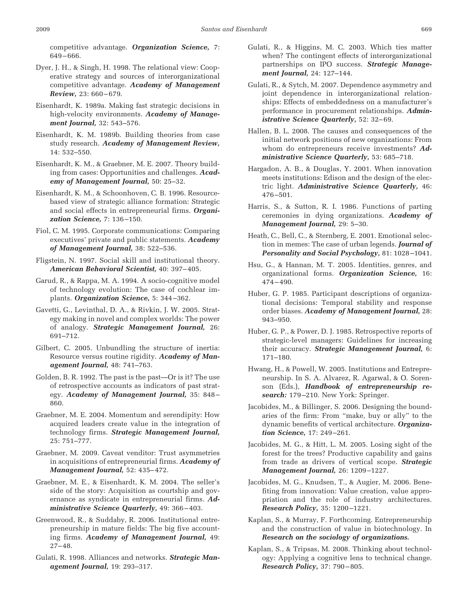competitive advantage. *Organization Science,* 7: 649 – 666.

- Dyer, J. H., & Singh, H. 1998. The relational view: Cooperative strategy and sources of interorganizational competitive advantage. *Academy of Management Review,* 23: 660 – 679.
- Eisenhardt, K. 1989a. Making fast strategic decisions in high-velocity environments. *Academy of Management Journal,* 32: 543–576.
- Eisenhardt, K. M. 1989b. Building theories from case study research. *Academy of Management Review,* 14: 532–550.
- Eisenhardt, K. M., & Graebner, M. E. 2007. Theory building from cases: Opportunities and challenges. *Academy of Management Journal,* 50: 25–32.
- Eisenhardt, K. M., & Schoonhoven, C. B. 1996. Resourcebased view of strategic alliance formation: Strategic and social effects in entrepreneurial firms. *Organization Science,* 7: 136 –150.
- Fiol, C. M. 1995. Corporate communications: Comparing executives' private and public statements. *Academy of Management Journal,* 38: 522–536.
- Fligstein, N. 1997. Social skill and institutional theory. *American Behavioral Scientist,* 40: 397– 405.
- Garud, R., & Rappa, M. A. 1994. A socio-cognitive model of technology evolution: The case of cochlear implants. *Organization Science,* 5: 344 –362.
- Gavetti, G., Levinthal, D. A., & Rivkin, J. W. 2005. Strategy making in novel and complex worlds: The power of analogy. *Strategic Management Journal,* 26: 691–712.
- Gilbert, C. 2005. Unbundling the structure of inertia: Resource versus routine rigidity. *Academy of Management Journal,* 48: 741–763.
- Golden, B. R. 1992. The past is the past—Or is it? The use of retrospective accounts as indicators of past strategy. *Academy of Management Journal,* 35: 848 – 860.
- Graebner, M. E. 2004. Momentum and serendipity: How acquired leaders create value in the integration of technology firms. *Strategic Management Journal,* 25: 751–777.
- Graebner, M. 2009. Caveat venditor: Trust asymmetries in acquisitions of entrepreneurial firms. *Academy of Management Journal,* 52: 435– 472.
- Graebner, M. E., & Eisenhardt, K. M. 2004. The seller's side of the story: Acquisition as courtship and governance as syndicate in entrepreneurial firms. *Administrative Science Quarterly,* 49: 366 – 403.
- Greenwood, R., & Suddaby, R. 2006. Institutional entrepreneurship in mature fields: The big five accounting firms. *Academy of Management Journal,* 49: 27– 48.
- Gulati, R. 1998. Alliances and networks. *Strategic Management Journal,* 19: 293–317.
- Gulati, R., & Higgins, M. C. 2003. Which ties matter when? The contingent effects of interorganizational partnerships on IPO success. *Strategic Management Journal,* 24: 127–144.
- Gulati, R., & Sytch, M. 2007. Dependence asymmetry and joint dependence in interorganizational relationships: Effects of embeddedness on a manufacturer's performance in procurement relationships. *Administrative Science Quarterly,* 52: 32-69.
- Hallen, B. L. 2008. The causes and consequences of the initial network positions of new organizations: From whom do entrepreneurs receive investments? *Administrative Science Quarterly,* 53: 685–718.
- Hargadon, A. B., & Douglas, Y. 2001. When innovation meets institutions: Edison and the design of the electric light. *Administrative Science Quarterly,* 46: 476 –501.
- Harris, S., & Sutton, R. I. 1986. Functions of parting ceremonies in dying organizations. *Academy of Management Journal,* 29: 5–30.
- Heath, C., Bell, C., & Sternberg, E. 2001. Emotional selection in memes: The case of urban legends. *Journal of Personality and Social Psychology,* 81: 1028 –1041.
- Hsu, G., & Hannan, M. T. 2005. Identities, genres, and organizational forms. *Organization Science,* 16: 474 – 490.
- Huber, G. P. 1985. Participant descriptions of organizational decisions: Temporal stability and response order biases. *Academy of Management Journal,* 28: 943–950.
- Huber, G. P., & Power, D. J. 1985. Retrospective reports of strategic-level managers: Guidelines for increasing their accuracy. *Strategic Management Journal,* 6: 171–180.
- Hwang, H., & Powell, W. 2005. Institutions and Entrepreneurship. In S. A. Alvarez, R. Agarwal, & O. Sorenson (Eds.), *Handbook of entrepreneurship research:* 179 –210. New York: Springer.
- Jacobides, M., & Billinger, S. 2006. Designing the boundaries of the firm: From "make, buy or ally" to the dynamic benefits of vertical architecture. *Organization Science,* 17: 249 –261.
- Jacobides, M. G., & Hitt, L. M. 2005. Losing sight of the forest for the trees? Productive capability and gains from trade as drivers of vertical scope. *Strategic Management Journal,* 26: 1209 –1227.
- Jacobides, M. G., Knudsen, T., & Augier, M. 2006. Benefiting from innovation: Value creation, value appropriation and the role of industry architectures. *Research Policy,* 35: 1200 –1221.
- Kaplan, S., & Murray, F. Forthcoming. Entrepreneurship and the construction of value in biotechnology. In *Research on the sociology of organizations.*
- Kaplan, S., & Tripsas, M. 2008. Thinking about technology: Applying a cognitive lens to technical change. *Research Policy,* 37: 790 – 805.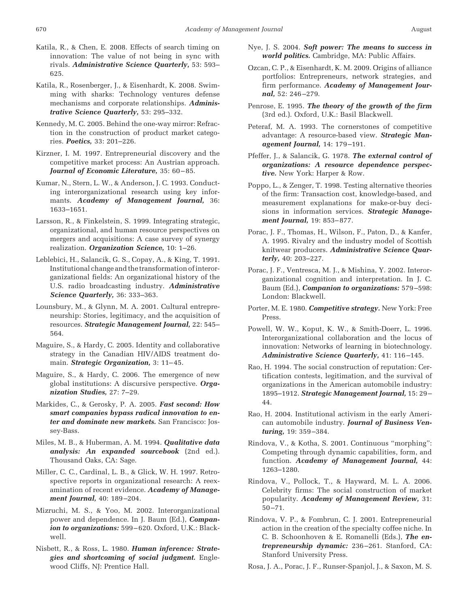- Katila, R., & Chen, E. 2008. Effects of search timing on innovation: The value of not being in sync with rivals. *Administrative Science Quarterly,* 53: 593– 625.
- Katila, R., Rosenberger, J., & Eisenhardt, K. 2008. Swimming with sharks: Technology ventures defense mechanisms and corporate relationships. *Administrative Science Quarterly,* 53: 295–332.
- Kennedy, M. C. 2005. Behind the one-way mirror: Refraction in the construction of product market categories. *Poetics,* 33: 201–226.
- Kirzner, I. M. 1997. Entrepreneurial discovery and the competitive market process: An Austrian approach. *Journal of Economic Literature,* 35: 60 – 85.
- Kumar, N., Stern, L. W., & Anderson, J. C. 1993. Conducting interorganizational research using key informants. *Academy of Management Journal,* 36: 1633–1651.
- Larsson, R., & Finkelstein, S. 1999. Integrating strategic, organizational, and human resource perspectives on mergers and acquisitions: A case survey of synergy realization. *Organization Science,* 10: 1–26.
- Leblebici, H., Salancik, G. S., Copay, A., & King, T. 1991. Institutional change and the transformation of interorganizational fields: An organizational history of the U.S. radio broadcasting industry. *Administrative Science Quarterly,* 36: 333–363.
- Lounsbury, M., & Glynn, M. A. 2001. Cultural entrepreneurship: Stories, legitimacy, and the acquisition of resources. *Strategic Management Journal,* 22: 545– 564.
- Maguire, S., & Hardy, C. 2005. Identity and collaborative strategy in the Canadian HIV/AIDS treatment domain. *Strategic Organization*, 3: 11-45.
- Maguire, S., & Hardy, C. 2006. The emergence of new global institutions: A discursive perspective. *Organization Studies,* 27: 7–29.
- Markides, C., & Gerosky, P. A. 2005. *Fast second: How smart companies bypass radical innovation to enter and dominate new markets.* San Francisco: Jossey-Bass.
- Miles, M. B., & Huberman, A. M. 1994. *Qualitative data analysis: An expanded sourcebook* (2nd ed.). Thousand Oaks, CA: Sage.
- Miller, C. C., Cardinal, L. B., & Glick, W. H. 1997. Retrospective reports in organizational research: A reexamination of recent evidence. *Academy of Management Journal,* 40: 189 –204.
- Mizruchi, M. S., & Yoo, M. 2002. Interorganizational power and dependence. In J. Baum (Ed.), *Companion to organizations:* 599 – 620. Oxford, U.K.: Blackwell.
- Nisbett, R., & Ross, L. 1980. *Human inference: Strategies and shortcoming of social judgment.* Englewood Cliffs, NJ: Prentice Hall.
- Nye, J. S. 2004. *Soft power: The means to success in world politics.* Cambridge, MA: Public Affairs.
- Ozcan, C. P., & Eisenhardt, K. M. 2009. Origins of alliance portfolios: Entrepreneurs, network strategies, and firm performance. *Academy of Management Journal,* 52: 246 –279.
- Penrose, E. 1995. *The theory of the growth of the firm* (3rd ed.). Oxford, U.K.: Basil Blackwell.
- Peteraf, M. A. 1993. The cornerstones of competitive advantage: A resource-based view. *Strategic Management Journal,* 14: 179 –191.
- Pfeffer, J., & Salancik, G. 1978. *The external control of organizations: A resource dependence perspective.* New York: Harper & Row.
- Poppo, L., & Zenger, T. 1998. Testing alternative theories of the firm: Transaction cost, knowledge-based, and measurement explanations for make-or-buy decisions in information services. *Strategic Management Journal,* 19: 853– 877.
- Porac, J. F., Thomas, H., Wilson, F., Paton, D., & Kanfer, A. 1995. Rivalry and the industry model of Scottish knitwear producers. *Administrative Science Quarterly,* 40: 203–227.
- Porac, J. F., Ventresca, M. J., & Mishina, Y. 2002. Interorganizational cognition and interpretation. In J. C. Baum (Ed.), *Companion to organizations:* 579 –598: London: Blackwell.
- Porter, M. E. 1980. *Competitive strategy.* New York: Free Press.
- Powell, W. W., Koput, K. W., & Smith-Doerr, L. 1996. Interorganizational collaboration and the locus of innovation: Networks of learning in biotechnology. *Administrative Science Quarterly,* 41: 116 –145.
- Rao, H. 1994. The social construction of reputation: Certification contests, legitimation, and the survival of organizations in the American automobile industry: 1895–1912. *Strategic Management Journal,* 15: 29 – 44.
- Rao, H. 2004. Institutional activism in the early American automobile industry. *Journal of Business Venturing,* 19: 359 –384.
- Rindova, V., & Kotha, S. 2001. Continuous "morphing": Competing through dynamic capabilities, form, and function. *Academy of Management Journal,* 44: 1263–1280.
- Rindova, V., Pollock, T., & Hayward, M. L. A. 2006. Celebrity firms: The social construction of market popularity. *Academy of Management Review,* 31: 50 –71.
- Rindova, V. P., & Fombrun, C. J. 2001. Entrepreneurial action in the creation of the specialty coffee niche. In C. B. Schoonhoven & E. Romanelli (Eds.), *The entrepreneurship dynamic:* 236 –261. Stanford, CA: Stanford University Press.
- Rosa, J. A., Porac, J. F., Runser-Spanjol, J., & Saxon, M. S.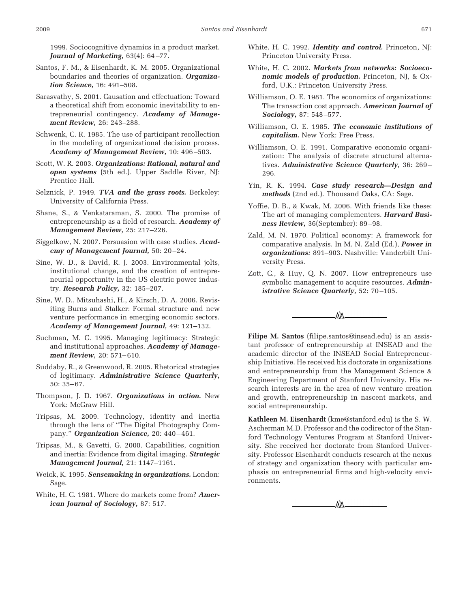1999. Sociocognitive dynamics in a product market. *Journal of Marketing,* 63(4): 64 –77.

- Santos, F. M., & Eisenhardt, K. M. 2005. Organizational boundaries and theories of organization. *Organization Science,* 16: 491–508.
- Sarasvathy, S. 2001. Causation and effectuation: Toward a theoretical shift from economic inevitability to entrepreneurial contingency. *Academy of Management Review,* 26: 243–288.
- Schwenk, C. R. 1985. The use of participant recollection in the modeling of organizational decision process. *Academy of Management Review,* 10: 496 –503.
- Scott, W. R. 2003. *Organizations: Rational, natural and open systems* (5th ed.). Upper Saddle River, NJ: Prentice Hall.
- Selznick, P. 1949. *TVA and the grass roots.* Berkeley: University of California Press.
- Shane, S., & Venkataraman, S. 2000. The promise of entrepreneurship as a field of research. *Academy of Management Review,* 25: 217–226.
- Siggelkow, N. 2007. Persuasion with case studies. *Academy of Management Journal,* 50: 20 –24.
- Sine, W. D., & David, R. J. 2003. Environmental jolts, institutional change, and the creation of entrepreneurial opportunity in the US electric power industry. *Research Policy,* 32: 185–207.
- Sine, W. D., Mitsuhashi, H., & Kirsch, D. A. 2006. Revisiting Burns and Stalker: Formal structure and new venture performance in emerging economic sectors. *Academy of Management Journal,* 49: 121–132.
- Suchman, M. C. 1995. Managing legitimacy: Strategic and institutional approaches. *Academy of Management Review,* 20: 571– 610.
- Suddaby, R., & Greenwood, R. 2005. Rhetorical strategies of legitimacy. *Administrative Science Quarterly,* 50: 35– 67.
- Thompson, J. D. 1967. *Organizations in action.* New York: McGraw Hill.
- Tripsas, M. 2009. Technology, identity and inertia through the lens of "The Digital Photography Company." *Organization Science,* 20: 440 – 461.
- Tripsas, M., & Gavetti, G. 2000. Capabilities, cognition and inertia: Evidence from digital imaging. *Strategic Management Journal,* 21: 1147–1161.
- Weick, K. 1995. *Sensemaking in organizations.* London: Sage.
- White, H. C. 1981. Where do markets come from? *American Journal of Sociology,* 87: 517.
- White, H. C. 1992. *Identity and control.* Princeton, NJ: Princeton University Press.
- White, H. C. 2002. *Markets from networks: Socioeconomic models of production.* Princeton, NJ, & Oxford, U.K.: Princeton University Press.
- Williamson, O. E. 1981. The economics of organizations: The transaction cost approach. *American Journal of Sociology,* 87: 548 –577.
- Williamson, O. E. 1985. *The economic institutions of capitalism.* New York: Free Press.
- Williamson, O. E. 1991. Comparative economic organization: The analysis of discrete structural alternatives. *Administrative Science Quarterly,* 36: 269 – 296.
- Yin, R. K. 1994. *Case study research—Design and methods* (2nd ed.). Thousand Oaks, CA: Sage.
- Yoffie, D. B., & Kwak, M. 2006. With friends like these: The art of managing complementers. *Harvard Business Review,* 36(September): 89 –98.
- Zald, M. N. 1970. Political economy: A framework for comparative analysis. In M. N. Zald (Ed.), *Power in organizations:* 891–903. Nashville: Vanderbilt University Press.
- Zott, C., & Huy, Q. N. 2007. How entrepreneurs use symbolic management to acquire resources. *Administrative Science Quarterly, 52: 70-105.*



**Filipe M. Santos** (filipe.santos@insead.edu) is an assistant professor of entrepreneurship at INSEAD and the academic director of the INSEAD Social Entrepreneurship Initiative. He received his doctorate in organizations and entrepreneurship from the Management Science & Engineering Department of Stanford University. His research interests are in the area of new venture creation and growth, entrepreneurship in nascent markets, and social entrepreneurship.

**Kathleen M. Eisenhardt** (kme@stanford.edu) is the S. W. Ascherman M.D. Professor and the codirector of the Stanford Technology Ventures Program at Stanford University. She received her doctorate from Stanford University. Professor Eisenhardt conducts research at the nexus of strategy and organization theory with particular emphasis on entrepreneurial firms and high-velocity environments.